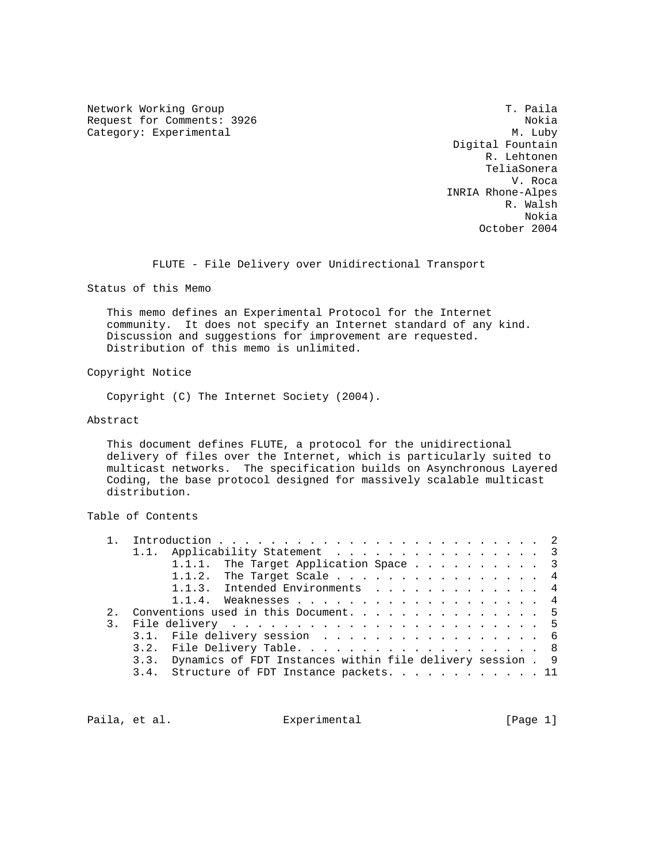Network Working Group T. Paila Request for Comments: 3926 Nokia Nokia Nokia Nokia Nokia Nokia Nokia Nokia Nokia Nokia Nokia Nokia Nokia Nokia<br>Category: Experimental No. 1996 No. 1997 No. 1997 No. 1998 No. 1999 No. 1999 No. 1999 No. 1999 No. 1999 No. 19 Category: Experimental

 Digital Fountain R. Lehtonen TeliaSonera V. Roca INRIA Rhone-Alpes R. Walsh Nokia October 2004

FLUTE - File Delivery over Unidirectional Transport

Status of this Memo

 This memo defines an Experimental Protocol for the Internet community. It does not specify an Internet standard of any kind. Discussion and suggestions for improvement are requested. Distribution of this memo is unlimited.

Copyright Notice

Copyright (C) The Internet Society (2004).

Abstract

 This document defines FLUTE, a protocol for the unidirectional delivery of files over the Internet, which is particularly suited to multicast networks. The specification builds on Asynchronous Layered Coding, the base protocol designed for massively scalable multicast distribution.

# Table of Contents

|  | 1.1. Applicability Statement 3                                  |
|--|-----------------------------------------------------------------|
|  | 1.1.1. The Target Application Space 3                           |
|  | 1.1.2. The Target Scale 4                                       |
|  | 1.1.3. Intended Environments 4                                  |
|  |                                                                 |
|  | 2. Conventions used in this Document. 5                         |
|  |                                                                 |
|  | 3.1. File delivery session 6                                    |
|  | 3.2. File Delivery Table. 8                                     |
|  | 3.3. Dynamics of FDT Instances within file delivery session . 9 |
|  | 3.4. Structure of FDT Instance packets. 11                      |
|  |                                                                 |

Paila, et al. <br>Experimental [Page 1]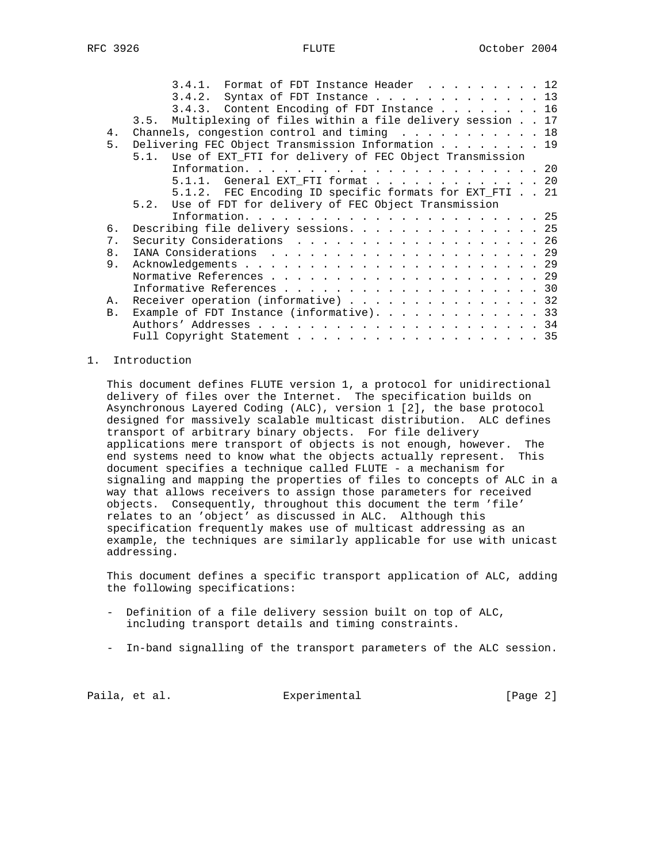|    | 3.4.1. Format of FDT Instance Header 12                      |
|----|--------------------------------------------------------------|
|    | $3.4.2.$ Syntax of FDT Instance 13                           |
|    | 3.4.3. Content Encoding of FDT Instance 16                   |
|    | 3.5. Multiplexing of files within a file delivery session 17 |
| 4. | Channels, congestion control and timing 18                   |
| 5. | Delivering FEC Object Transmission Information 19            |
|    | 5.1. Use of EXT FTI for delivery of FEC Object Transmission  |
|    |                                                              |
|    | $5.1.1.$ General EXT FTI format 20                           |
|    | 5.1.2. FEC Encoding ID specific formats for EXT FTI 21       |
|    | 5.2. Use of FDT for delivery of FEC Object Transmission      |
|    |                                                              |
| б. | Describing file delivery sessions. 25                        |
| 7. | Security Considerations 26                                   |
| 8. |                                                              |
| 9. |                                                              |
|    |                                                              |
|    |                                                              |
| Α. | Receiver operation (informative) 32                          |
| B. | Example of FDT Instance (informative). 33                    |
|    |                                                              |
|    | Full Copyright Statement 35                                  |
|    |                                                              |

### 1. Introduction

 This document defines FLUTE version 1, a protocol for unidirectional delivery of files over the Internet. The specification builds on Asynchronous Layered Coding (ALC), version 1 [2], the base protocol designed for massively scalable multicast distribution. ALC defines transport of arbitrary binary objects. For file delivery applications mere transport of objects is not enough, however. The end systems need to know what the objects actually represent. This document specifies a technique called FLUTE - a mechanism for signaling and mapping the properties of files to concepts of ALC in a way that allows receivers to assign those parameters for received objects. Consequently, throughout this document the term 'file' relates to an 'object' as discussed in ALC. Although this specification frequently makes use of multicast addressing as an example, the techniques are similarly applicable for use with unicast addressing.

 This document defines a specific transport application of ALC, adding the following specifications:

- Definition of a file delivery session built on top of ALC, including transport details and timing constraints.
- In-band signalling of the transport parameters of the ALC session.

Paila, et al.  $\Box$  Experimental  $\Box$  [Page 2]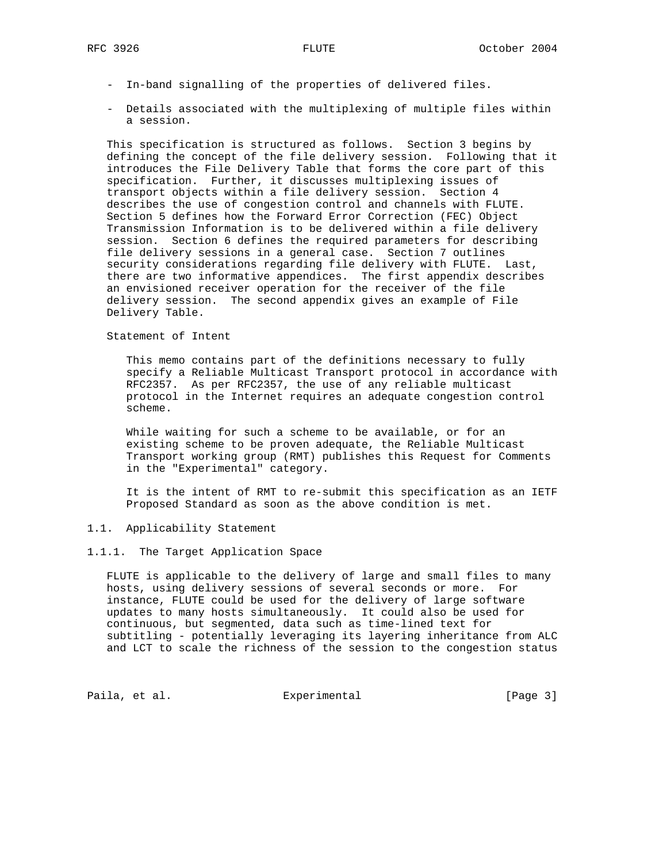- In-band signalling of the properties of delivered files.
- Details associated with the multiplexing of multiple files within a session.

 This specification is structured as follows. Section 3 begins by defining the concept of the file delivery session. Following that it introduces the File Delivery Table that forms the core part of this specification. Further, it discusses multiplexing issues of transport objects within a file delivery session. Section 4 describes the use of congestion control and channels with FLUTE. Section 5 defines how the Forward Error Correction (FEC) Object Transmission Information is to be delivered within a file delivery session. Section 6 defines the required parameters for describing file delivery sessions in a general case. Section 7 outlines security considerations regarding file delivery with FLUTE. Last, there are two informative appendices. The first appendix describes an envisioned receiver operation for the receiver of the file delivery session. The second appendix gives an example of File Delivery Table.

Statement of Intent

 This memo contains part of the definitions necessary to fully specify a Reliable Multicast Transport protocol in accordance with RFC2357. As per RFC2357, the use of any reliable multicast protocol in the Internet requires an adequate congestion control scheme.

 While waiting for such a scheme to be available, or for an existing scheme to be proven adequate, the Reliable Multicast Transport working group (RMT) publishes this Request for Comments in the "Experimental" category.

 It is the intent of RMT to re-submit this specification as an IETF Proposed Standard as soon as the above condition is met.

### 1.1. Applicability Statement

# 1.1.1. The Target Application Space

 FLUTE is applicable to the delivery of large and small files to many hosts, using delivery sessions of several seconds or more. For instance, FLUTE could be used for the delivery of large software updates to many hosts simultaneously. It could also be used for continuous, but segmented, data such as time-lined text for subtitling - potentially leveraging its layering inheritance from ALC and LCT to scale the richness of the session to the congestion status

Paila, et al. Subsection Experimental Fage 31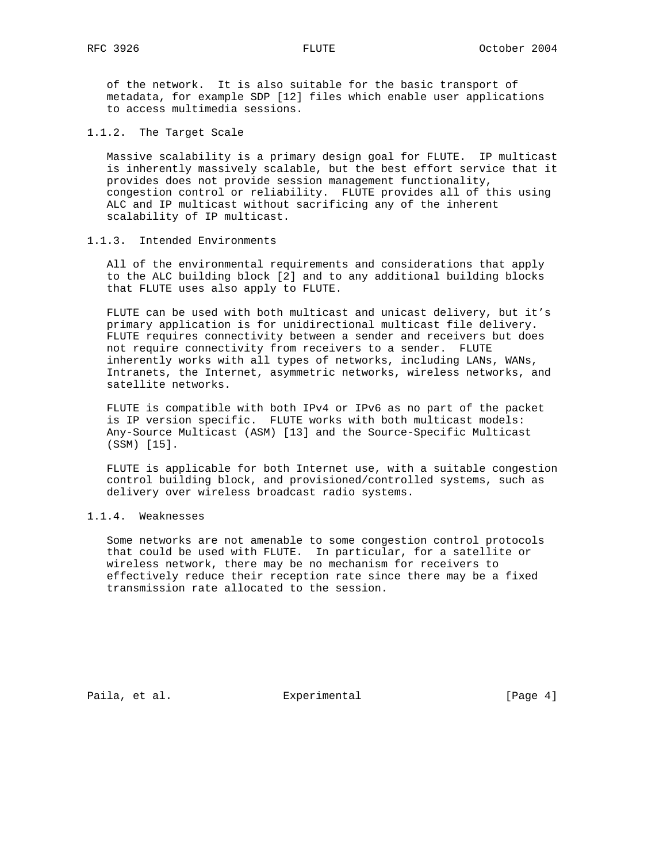of the network. It is also suitable for the basic transport of metadata, for example SDP [12] files which enable user applications to access multimedia sessions.

1.1.2. The Target Scale

 Massive scalability is a primary design goal for FLUTE. IP multicast is inherently massively scalable, but the best effort service that it provides does not provide session management functionality, congestion control or reliability. FLUTE provides all of this using ALC and IP multicast without sacrificing any of the inherent scalability of IP multicast.

## 1.1.3. Intended Environments

 All of the environmental requirements and considerations that apply to the ALC building block [2] and to any additional building blocks that FLUTE uses also apply to FLUTE.

 FLUTE can be used with both multicast and unicast delivery, but it's primary application is for unidirectional multicast file delivery. FLUTE requires connectivity between a sender and receivers but does not require connectivity from receivers to a sender. FLUTE inherently works with all types of networks, including LANs, WANs, Intranets, the Internet, asymmetric networks, wireless networks, and satellite networks.

 FLUTE is compatible with both IPv4 or IPv6 as no part of the packet is IP version specific. FLUTE works with both multicast models: Any-Source Multicast (ASM) [13] and the Source-Specific Multicast (SSM) [15].

 FLUTE is applicable for both Internet use, with a suitable congestion control building block, and provisioned/controlled systems, such as delivery over wireless broadcast radio systems.

# 1.1.4. Weaknesses

 Some networks are not amenable to some congestion control protocols that could be used with FLUTE. In particular, for a satellite or wireless network, there may be no mechanism for receivers to effectively reduce their reception rate since there may be a fixed transmission rate allocated to the session.

Paila, et al. Subsection Experimental Fage 41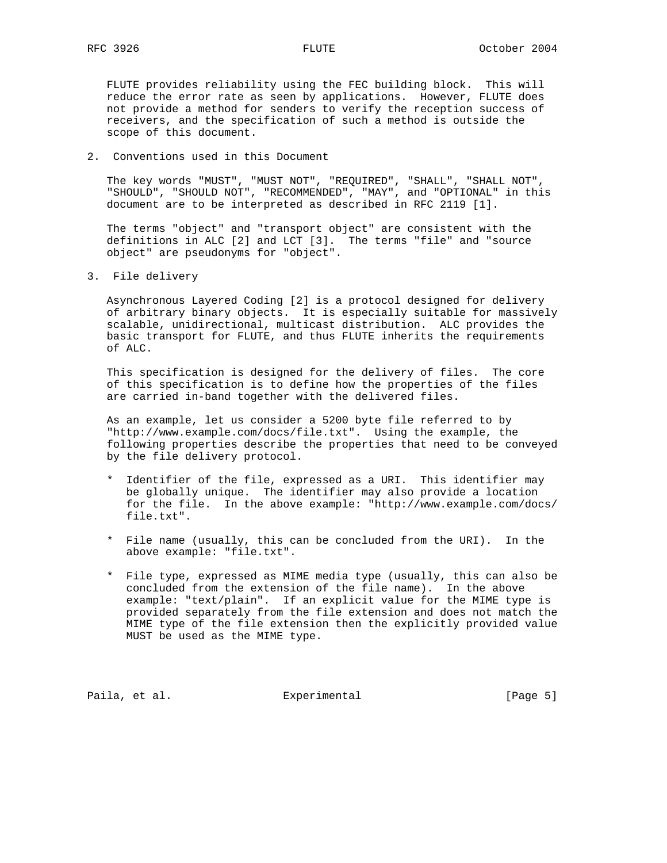FLUTE provides reliability using the FEC building block. This will reduce the error rate as seen by applications. However, FLUTE does not provide a method for senders to verify the reception success of receivers, and the specification of such a method is outside the scope of this document.

## 2. Conventions used in this Document

 The key words "MUST", "MUST NOT", "REQUIRED", "SHALL", "SHALL NOT", "SHOULD", "SHOULD NOT", "RECOMMENDED", "MAY", and "OPTIONAL" in this document are to be interpreted as described in RFC 2119 [1].

 The terms "object" and "transport object" are consistent with the definitions in ALC [2] and LCT [3]. The terms "file" and "source object" are pseudonyms for "object".

3. File delivery

 Asynchronous Layered Coding [2] is a protocol designed for delivery of arbitrary binary objects. It is especially suitable for massively scalable, unidirectional, multicast distribution. ALC provides the basic transport for FLUTE, and thus FLUTE inherits the requirements of ALC.

 This specification is designed for the delivery of files. The core of this specification is to define how the properties of the files are carried in-band together with the delivered files.

 As an example, let us consider a 5200 byte file referred to by "http://www.example.com/docs/file.txt". Using the example, the following properties describe the properties that need to be conveyed by the file delivery protocol.

- \* Identifier of the file, expressed as a URI. This identifier may be globally unique. The identifier may also provide a location for the file. In the above example: "http://www.example.com/docs/ file.txt".
- \* File name (usually, this can be concluded from the URI). In the above example: "file.txt".
- \* File type, expressed as MIME media type (usually, this can also be concluded from the extension of the file name). In the above example: "text/plain". If an explicit value for the MIME type is provided separately from the file extension and does not match the MIME type of the file extension then the explicitly provided value MUST be used as the MIME type.

Paila, et al. Subsection Experimental Fage 5]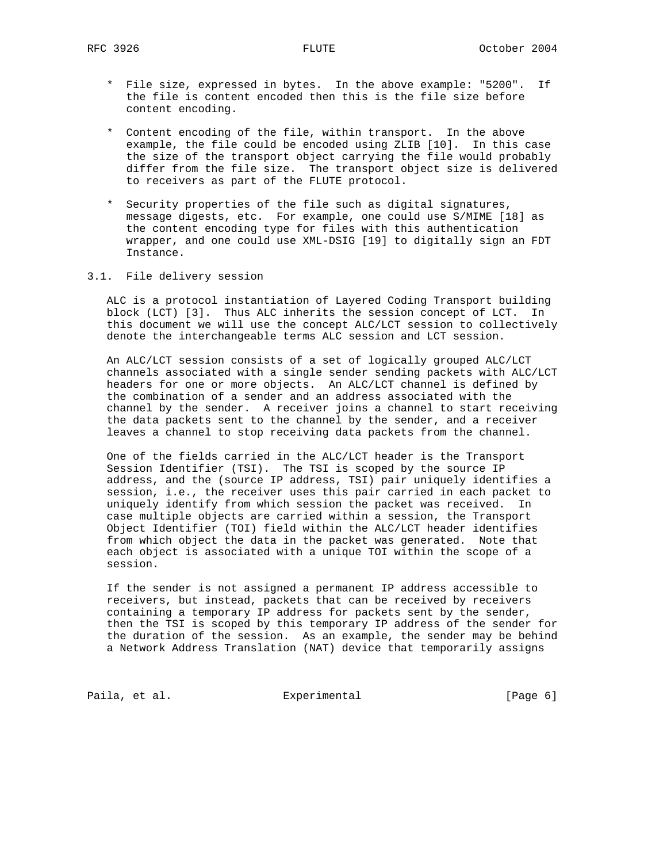- \* File size, expressed in bytes. In the above example: "5200". If the file is content encoded then this is the file size before content encoding.
- \* Content encoding of the file, within transport. In the above example, the file could be encoded using ZLIB [10]. In this case the size of the transport object carrying the file would probably differ from the file size. The transport object size is delivered to receivers as part of the FLUTE protocol.
- \* Security properties of the file such as digital signatures, message digests, etc. For example, one could use S/MIME [18] as the content encoding type for files with this authentication wrapper, and one could use XML-DSIG [19] to digitally sign an FDT Instance.

## 3.1. File delivery session

 ALC is a protocol instantiation of Layered Coding Transport building block (LCT) [3]. Thus ALC inherits the session concept of LCT. In this document we will use the concept ALC/LCT session to collectively denote the interchangeable terms ALC session and LCT session.

 An ALC/LCT session consists of a set of logically grouped ALC/LCT channels associated with a single sender sending packets with ALC/LCT headers for one or more objects. An ALC/LCT channel is defined by the combination of a sender and an address associated with the channel by the sender. A receiver joins a channel to start receiving the data packets sent to the channel by the sender, and a receiver leaves a channel to stop receiving data packets from the channel.

 One of the fields carried in the ALC/LCT header is the Transport Session Identifier (TSI). The TSI is scoped by the source IP address, and the (source IP address, TSI) pair uniquely identifies a session, i.e., the receiver uses this pair carried in each packet to uniquely identify from which session the packet was received. In case multiple objects are carried within a session, the Transport Object Identifier (TOI) field within the ALC/LCT header identifies from which object the data in the packet was generated. Note that each object is associated with a unique TOI within the scope of a session.

 If the sender is not assigned a permanent IP address accessible to receivers, but instead, packets that can be received by receivers containing a temporary IP address for packets sent by the sender, then the TSI is scoped by this temporary IP address of the sender for the duration of the session. As an example, the sender may be behind a Network Address Translation (NAT) device that temporarily assigns

Paila, et al. Subsection Experimental Fage 6]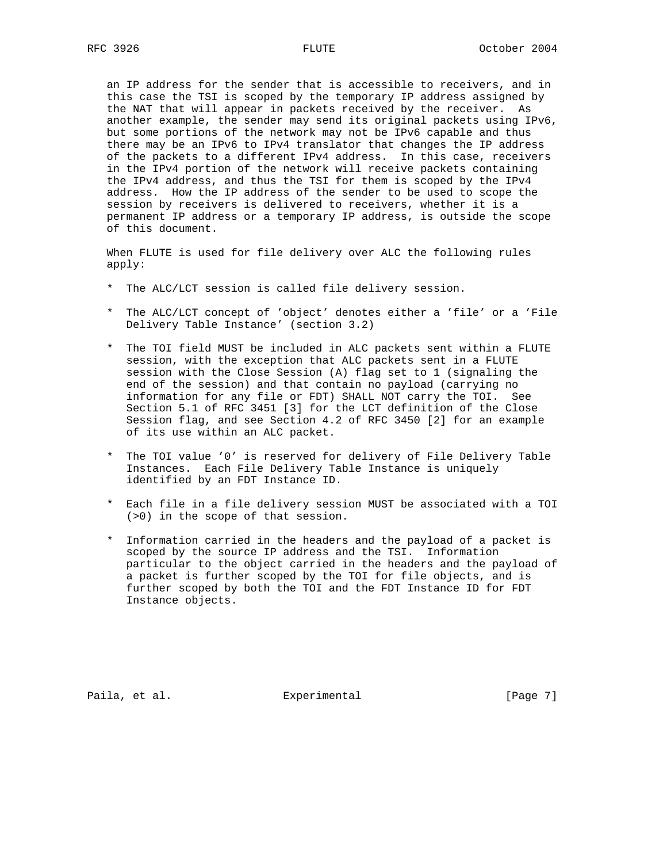an IP address for the sender that is accessible to receivers, and in this case the TSI is scoped by the temporary IP address assigned by the NAT that will appear in packets received by the receiver. As another example, the sender may send its original packets using IPv6, but some portions of the network may not be IPv6 capable and thus there may be an IPv6 to IPv4 translator that changes the IP address of the packets to a different IPv4 address. In this case, receivers in the IPv4 portion of the network will receive packets containing the IPv4 address, and thus the TSI for them is scoped by the IPv4 address. How the IP address of the sender to be used to scope the session by receivers is delivered to receivers, whether it is a permanent IP address or a temporary IP address, is outside the scope of this document.

 When FLUTE is used for file delivery over ALC the following rules apply:

- \* The ALC/LCT session is called file delivery session.
- \* The ALC/LCT concept of 'object' denotes either a 'file' or a 'File Delivery Table Instance' (section 3.2)
- \* The TOI field MUST be included in ALC packets sent within a FLUTE session, with the exception that ALC packets sent in a FLUTE session with the Close Session (A) flag set to 1 (signaling the end of the session) and that contain no payload (carrying no information for any file or FDT) SHALL NOT carry the TOI. See Section 5.1 of RFC 3451 [3] for the LCT definition of the Close Session flag, and see Section 4.2 of RFC 3450 [2] for an example of its use within an ALC packet.
- \* The TOI value '0' is reserved for delivery of File Delivery Table Instances. Each File Delivery Table Instance is uniquely identified by an FDT Instance ID.
- \* Each file in a file delivery session MUST be associated with a TOI (>0) in the scope of that session.
- \* Information carried in the headers and the payload of a packet is scoped by the source IP address and the TSI. Information particular to the object carried in the headers and the payload of a packet is further scoped by the TOI for file objects, and is further scoped by both the TOI and the FDT Instance ID for FDT Instance objects.

Paila, et al. Subsection Experimental Fage 7]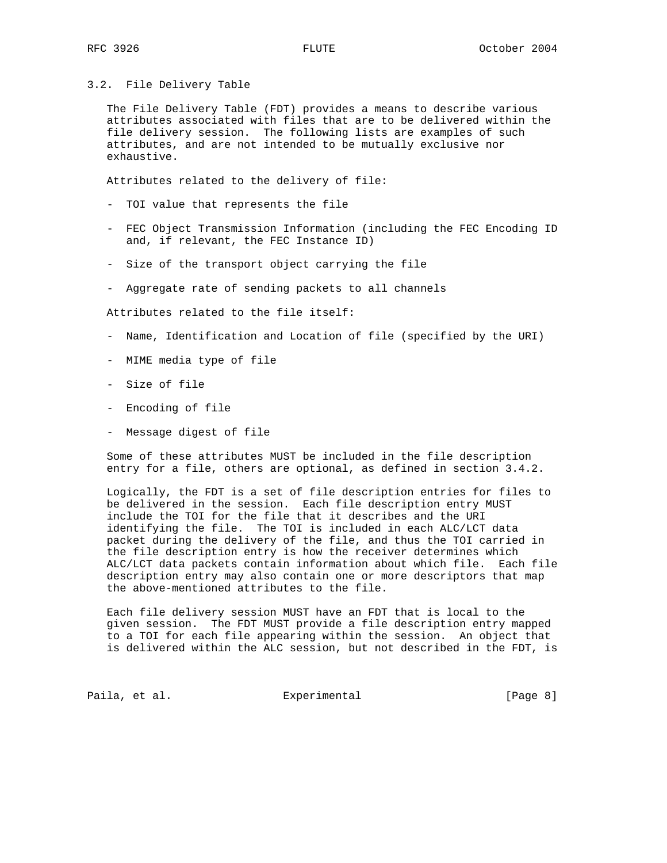#### 3.2. File Delivery Table

 The File Delivery Table (FDT) provides a means to describe various attributes associated with files that are to be delivered within the file delivery session. The following lists are examples of such attributes, and are not intended to be mutually exclusive nor exhaustive.

Attributes related to the delivery of file:

- TOI value that represents the file
- FEC Object Transmission Information (including the FEC Encoding ID and, if relevant, the FEC Instance ID)
- Size of the transport object carrying the file
- Aggregate rate of sending packets to all channels

Attributes related to the file itself:

- Name, Identification and Location of file (specified by the URI)
- MIME media type of file
- Size of file
- Encoding of file
- Message digest of file

 Some of these attributes MUST be included in the file description entry for a file, others are optional, as defined in section 3.4.2.

 Logically, the FDT is a set of file description entries for files to be delivered in the session. Each file description entry MUST include the TOI for the file that it describes and the URI identifying the file. The TOI is included in each ALC/LCT data packet during the delivery of the file, and thus the TOI carried in the file description entry is how the receiver determines which ALC/LCT data packets contain information about which file. Each file description entry may also contain one or more descriptors that map the above-mentioned attributes to the file.

 Each file delivery session MUST have an FDT that is local to the given session. The FDT MUST provide a file description entry mapped to a TOI for each file appearing within the session. An object that is delivered within the ALC session, but not described in the FDT, is

Paila, et al. Subsectimental Experimental (Page 8)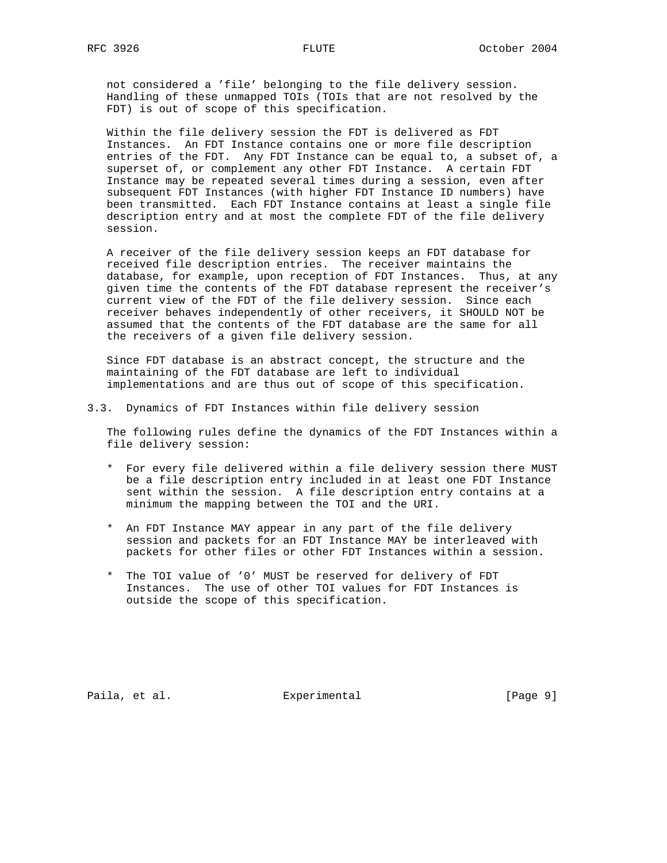not considered a 'file' belonging to the file delivery session. Handling of these unmapped TOIs (TOIs that are not resolved by the FDT) is out of scope of this specification.

 Within the file delivery session the FDT is delivered as FDT Instances. An FDT Instance contains one or more file description entries of the FDT. Any FDT Instance can be equal to, a subset of, a superset of, or complement any other FDT Instance. A certain FDT Instance may be repeated several times during a session, even after subsequent FDT Instances (with higher FDT Instance ID numbers) have been transmitted. Each FDT Instance contains at least a single file description entry and at most the complete FDT of the file delivery session.

 A receiver of the file delivery session keeps an FDT database for received file description entries. The receiver maintains the database, for example, upon reception of FDT Instances. Thus, at any given time the contents of the FDT database represent the receiver's current view of the FDT of the file delivery session. Since each receiver behaves independently of other receivers, it SHOULD NOT be assumed that the contents of the FDT database are the same for all the receivers of a given file delivery session.

 Since FDT database is an abstract concept, the structure and the maintaining of the FDT database are left to individual implementations and are thus out of scope of this specification.

3.3. Dynamics of FDT Instances within file delivery session

 The following rules define the dynamics of the FDT Instances within a file delivery session:

- \* For every file delivered within a file delivery session there MUST be a file description entry included in at least one FDT Instance sent within the session. A file description entry contains at a minimum the mapping between the TOI and the URI.
- \* An FDT Instance MAY appear in any part of the file delivery session and packets for an FDT Instance MAY be interleaved with packets for other files or other FDT Instances within a session.
- \* The TOI value of '0' MUST be reserved for delivery of FDT Instances. The use of other TOI values for FDT Instances is outside the scope of this specification.

Paila, et al. Subsection Experimental Fage 91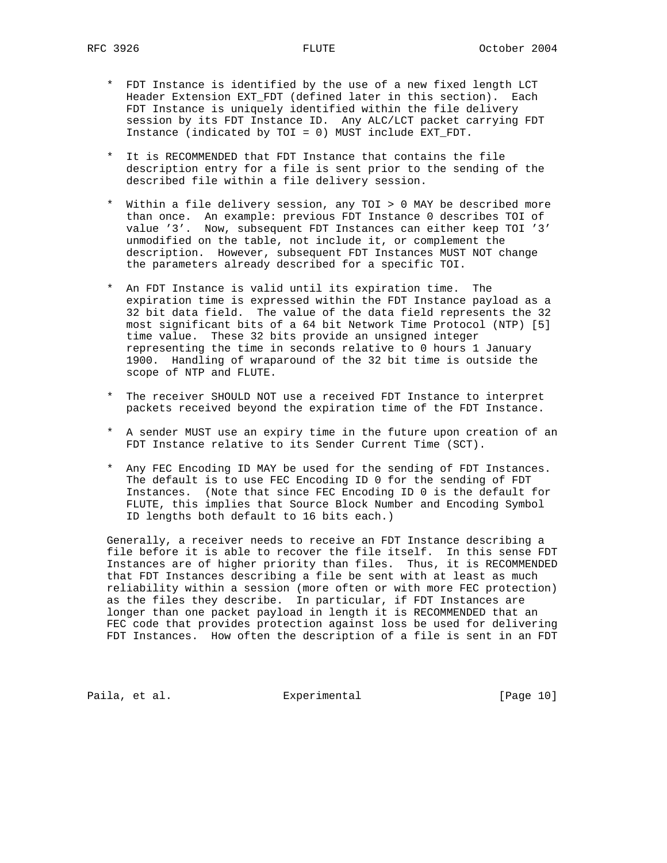- \* FDT Instance is identified by the use of a new fixed length LCT Header Extension EXT\_FDT (defined later in this section). Each FDT Instance is uniquely identified within the file delivery session by its FDT Instance ID. Any ALC/LCT packet carrying FDT Instance (indicated by TOI = 0) MUST include EXT\_FDT.
- \* It is RECOMMENDED that FDT Instance that contains the file description entry for a file is sent prior to the sending of the described file within a file delivery session.
- \* Within a file delivery session, any TOI > 0 MAY be described more than once. An example: previous FDT Instance 0 describes TOI of value '3'. Now, subsequent FDT Instances can either keep TOI '3' unmodified on the table, not include it, or complement the description. However, subsequent FDT Instances MUST NOT change the parameters already described for a specific TOI.
- \* An FDT Instance is valid until its expiration time. The expiration time is expressed within the FDT Instance payload as a 32 bit data field. The value of the data field represents the 32 most significant bits of a 64 bit Network Time Protocol (NTP) [5] time value. These 32 bits provide an unsigned integer representing the time in seconds relative to 0 hours 1 January 1900. Handling of wraparound of the 32 bit time is outside the scope of NTP and FLUTE.
- \* The receiver SHOULD NOT use a received FDT Instance to interpret packets received beyond the expiration time of the FDT Instance.
- \* A sender MUST use an expiry time in the future upon creation of an FDT Instance relative to its Sender Current Time (SCT).
- \* Any FEC Encoding ID MAY be used for the sending of FDT Instances. The default is to use FEC Encoding ID 0 for the sending of FDT Instances. (Note that since FEC Encoding ID 0 is the default for FLUTE, this implies that Source Block Number and Encoding Symbol ID lengths both default to 16 bits each.)

 Generally, a receiver needs to receive an FDT Instance describing a file before it is able to recover the file itself. In this sense FDT Instances are of higher priority than files. Thus, it is RECOMMENDED that FDT Instances describing a file be sent with at least as much reliability within a session (more often or with more FEC protection) as the files they describe. In particular, if FDT Instances are longer than one packet payload in length it is RECOMMENDED that an FEC code that provides protection against loss be used for delivering FDT Instances. How often the description of a file is sent in an FDT

Paila, et al.  $\qquad \qquad$  Experimental  $\qquad \qquad$  [Page 10]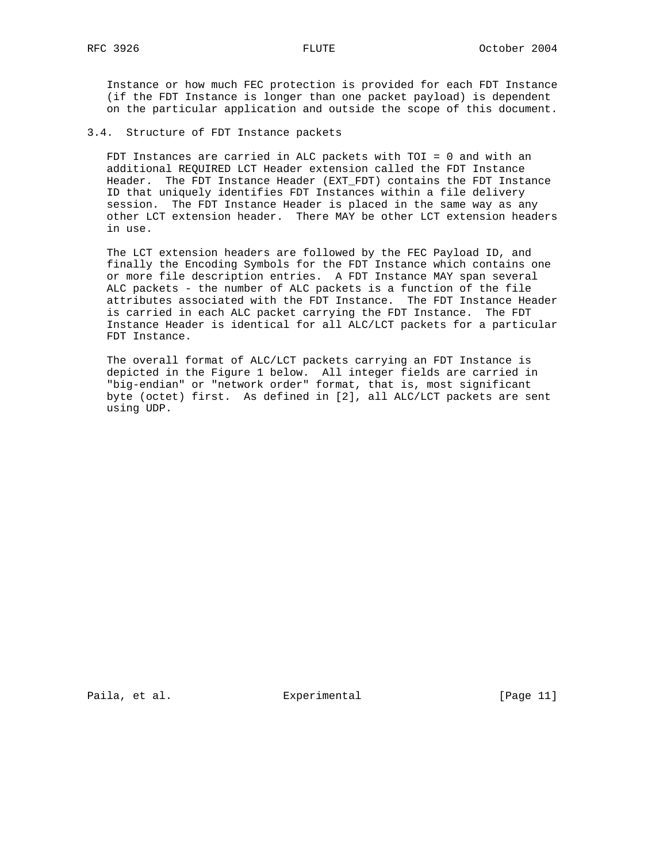Instance or how much FEC protection is provided for each FDT Instance (if the FDT Instance is longer than one packet payload) is dependent on the particular application and outside the scope of this document.

3.4. Structure of FDT Instance packets

 FDT Instances are carried in ALC packets with TOI = 0 and with an additional REQUIRED LCT Header extension called the FDT Instance Header. The FDT Instance Header (EXT\_FDT) contains the FDT Instance ID that uniquely identifies FDT Instances within a file delivery session. The FDT Instance Header is placed in the same way as any other LCT extension header. There MAY be other LCT extension headers in use.

 The LCT extension headers are followed by the FEC Payload ID, and finally the Encoding Symbols for the FDT Instance which contains one or more file description entries. A FDT Instance MAY span several ALC packets - the number of ALC packets is a function of the file attributes associated with the FDT Instance. The FDT Instance Header is carried in each ALC packet carrying the FDT Instance. The FDT Instance Header is identical for all ALC/LCT packets for a particular FDT Instance.

 The overall format of ALC/LCT packets carrying an FDT Instance is depicted in the Figure 1 below. All integer fields are carried in "big-endian" or "network order" format, that is, most significant byte (octet) first. As defined in [2], all ALC/LCT packets are sent using UDP.

Paila, et al. Experimental [Page 11]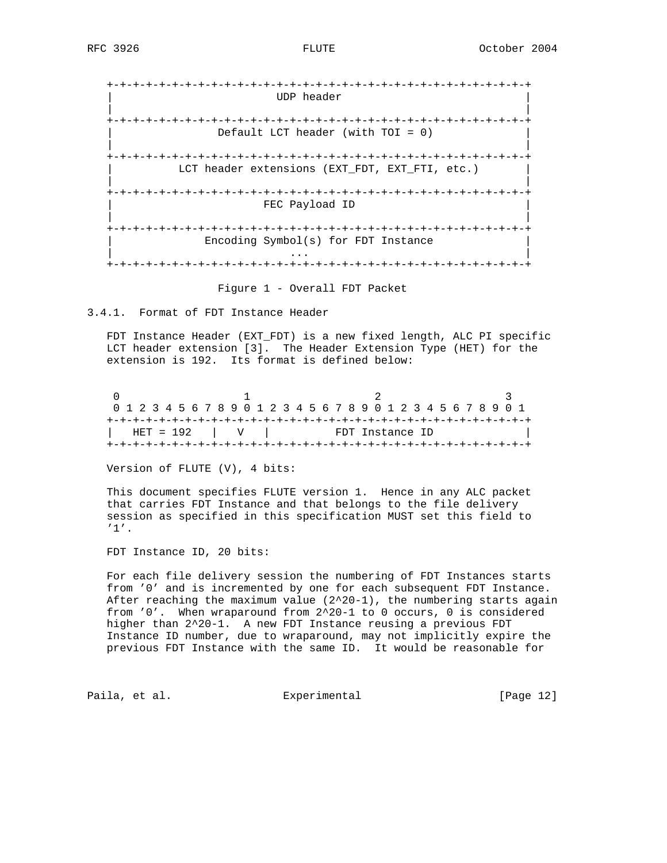+-+-+-+-+-+-+-+-+-+-+-+-+-+-+-+-+-+-+-+-+-+-+-+-+-+-+-+-+-+-+-+-+ UDP header | | +-+-+-+-+-+-+-+-+-+-+-+-+-+-+-+-+-+-+-+-+-+-+-+-+-+-+-+-+-+-+-+-+ Default LCT header (with TOI =  $0$ ) | | +-+-+-+-+-+-+-+-+-+-+-+-+-+-+-+-+-+-+-+-+-+-+-+-+-+-+-+-+-+-+-+-+ LCT header extensions (EXT\_FDT, EXT\_FTI, etc.) | | +-+-+-+-+-+-+-+-+-+-+-+-+-+-+-+-+-+-+-+-+-+-+-+-+-+-+-+-+-+-+-+-+ | FEC Payload ID | | | +-+-+-+-+-+-+-+-+-+-+-+-+-+-+-+-+-+-+-+-+-+-+-+-+-+-+-+-+-+-+-+-+ Encoding Symbol(s) for FDT Instance | ... | ... | ... | ... | ... | ... | ... | ... | ... | ... | ... | ... | ... | ... | ... | ... | ... | ... | . +-+-+-+-+-+-+-+-+-+-+-+-+-+-+-+-+-+-+-+-+-+-+-+-+-+-+-+-+-+-+-+-+

Figure 1 - Overall FDT Packet

3.4.1. Format of FDT Instance Header

 FDT Instance Header (EXT\_FDT) is a new fixed length, ALC PI specific LCT header extension [3]. The Header Extension Type (HET) for the extension is 192. Its format is defined below:

|  | 0 1 2 3 4 5 6 7 8 9 0 1 2 3 4 5 6 7 8 9 0 1 2 3 4 5 6 7 8 9 0 1 |  |  |  |  |  |  |  |  |  |                 |  |  |  |  |  |
|--|-----------------------------------------------------------------|--|--|--|--|--|--|--|--|--|-----------------|--|--|--|--|--|
|  |                                                                 |  |  |  |  |  |  |  |  |  |                 |  |  |  |  |  |
|  | HET = 192   V                                                   |  |  |  |  |  |  |  |  |  | FDT Instance ID |  |  |  |  |  |
|  |                                                                 |  |  |  |  |  |  |  |  |  |                 |  |  |  |  |  |

Version of FLUTE (V), 4 bits:

 This document specifies FLUTE version 1. Hence in any ALC packet that carries FDT Instance and that belongs to the file delivery session as specified in this specification MUST set this field to  $'1'$ .

FDT Instance ID, 20 bits:

 For each file delivery session the numbering of FDT Instances starts from '0' and is incremented by one for each subsequent FDT Instance. After reaching the maximum value  $(2^220-1)$ , the numbering starts again from '0'. When wraparound from 2^20-1 to 0 occurs, 0 is considered higher than 2^20-1. A new FDT Instance reusing a previous FDT Instance ID number, due to wraparound, may not implicitly expire the previous FDT Instance with the same ID. It would be reasonable for

Paila, et al. Experimental [Page 12]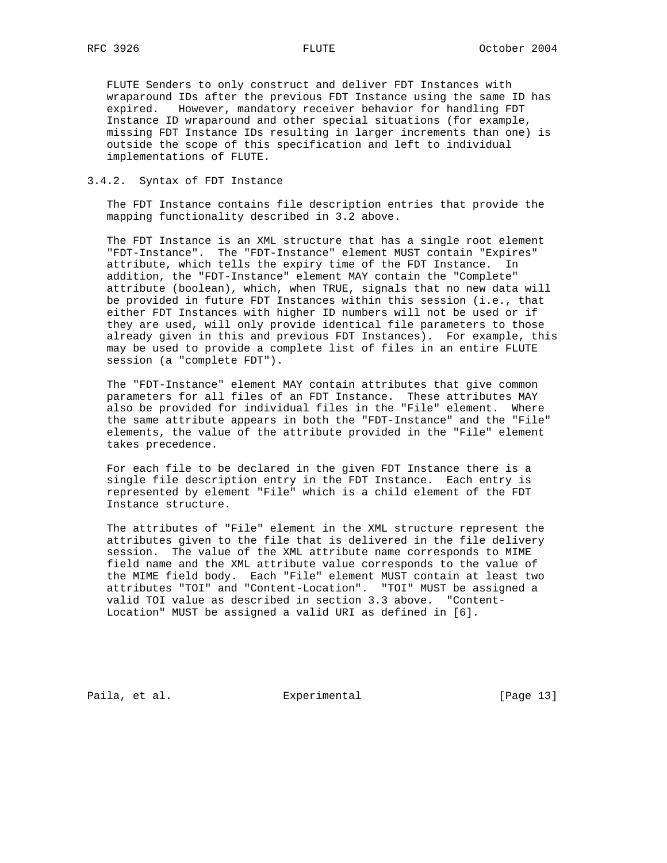FLUTE Senders to only construct and deliver FDT Instances with wraparound IDs after the previous FDT Instance using the same ID has expired. However, mandatory receiver behavior for handling FDT Instance ID wraparound and other special situations (for example, missing FDT Instance IDs resulting in larger increments than one) is outside the scope of this specification and left to individual implementations of FLUTE.

### 3.4.2. Syntax of FDT Instance

 The FDT Instance contains file description entries that provide the mapping functionality described in 3.2 above.

 The FDT Instance is an XML structure that has a single root element "FDT-Instance". The "FDT-Instance" element MUST contain "Expires" attribute, which tells the expiry time of the FDT Instance. In addition, the "FDT-Instance" element MAY contain the "Complete" attribute (boolean), which, when TRUE, signals that no new data will be provided in future FDT Instances within this session (i.e., that either FDT Instances with higher ID numbers will not be used or if they are used, will only provide identical file parameters to those already given in this and previous FDT Instances). For example, this may be used to provide a complete list of files in an entire FLUTE session (a "complete FDT").

 The "FDT-Instance" element MAY contain attributes that give common parameters for all files of an FDT Instance. These attributes MAY also be provided for individual files in the "File" element. Where the same attribute appears in both the "FDT-Instance" and the "File" elements, the value of the attribute provided in the "File" element takes precedence.

 For each file to be declared in the given FDT Instance there is a single file description entry in the FDT Instance. Each entry is represented by element "File" which is a child element of the FDT Instance structure.

 The attributes of "File" element in the XML structure represent the attributes given to the file that is delivered in the file delivery session. The value of the XML attribute name corresponds to MIME field name and the XML attribute value corresponds to the value of the MIME field body. Each "File" element MUST contain at least two attributes "TOI" and "Content-Location". "TOI" MUST be assigned a valid TOI value as described in section 3.3 above. "Content- Location" MUST be assigned a valid URI as defined in [6].

Paila, et al. Experimental [Page 13]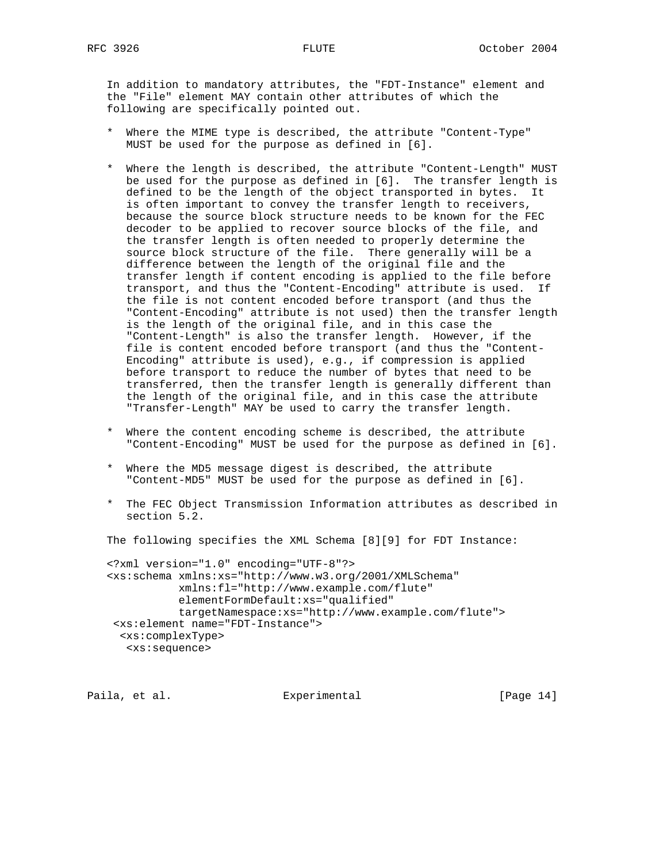In addition to mandatory attributes, the "FDT-Instance" element and the "File" element MAY contain other attributes of which the following are specifically pointed out.

- \* Where the MIME type is described, the attribute "Content-Type" MUST be used for the purpose as defined in [6].
- \* Where the length is described, the attribute "Content-Length" MUST be used for the purpose as defined in [6]. The transfer length is defined to be the length of the object transported in bytes. It is often important to convey the transfer length to receivers, because the source block structure needs to be known for the FEC decoder to be applied to recover source blocks of the file, and the transfer length is often needed to properly determine the source block structure of the file. There generally will be a difference between the length of the original file and the transfer length if content encoding is applied to the file before transport, and thus the "Content-Encoding" attribute is used. If the file is not content encoded before transport (and thus the "Content-Encoding" attribute is not used) then the transfer length is the length of the original file, and in this case the "Content-Length" is also the transfer length. However, if the file is content encoded before transport (and thus the "Content- Encoding" attribute is used), e.g., if compression is applied before transport to reduce the number of bytes that need to be transferred, then the transfer length is generally different than the length of the original file, and in this case the attribute "Transfer-Length" MAY be used to carry the transfer length.
- \* Where the content encoding scheme is described, the attribute "Content-Encoding" MUST be used for the purpose as defined in [6].
- \* Where the MD5 message digest is described, the attribute "Content-MD5" MUST be used for the purpose as defined in [6].
- \* The FEC Object Transmission Information attributes as described in section 5.2.

The following specifies the XML Schema [8][9] for FDT Instance:

 <?xml version="1.0" encoding="UTF-8"?> <xs:schema xmlns:xs="http://www.w3.org/2001/XMLSchema" xmlns:fl="http://www.example.com/flute" elementFormDefault:xs="qualified" targetNamespace:xs="http://www.example.com/flute"> <xs:element name="FDT-Instance"> <xs:complexType> <xs:sequence>

Paila, et al. Subsectimental Experimental [Page 14]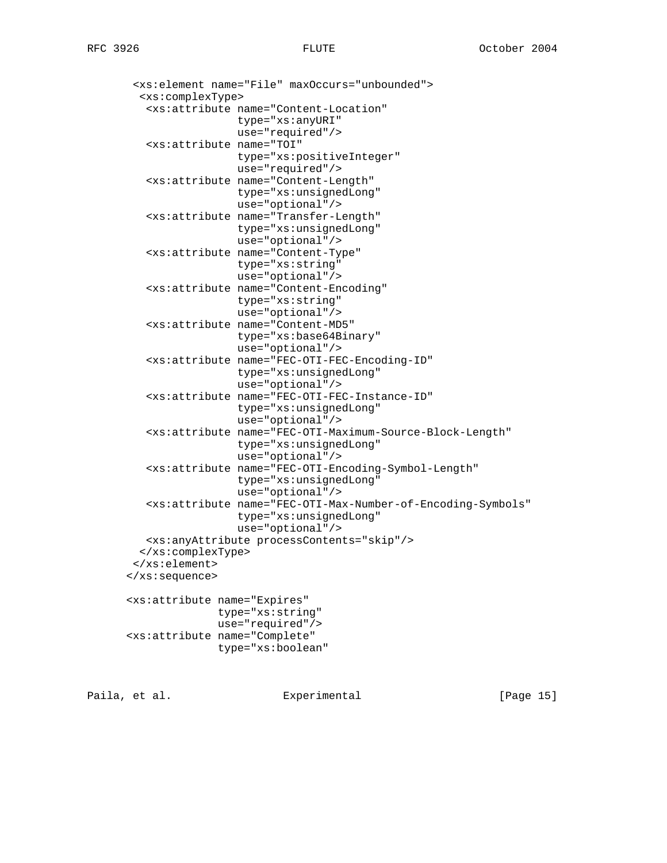<xs:element name="File" maxOccurs="unbounded"> <xs:complexType> <xs:attribute name="Content-Location" type="xs:anyURI" use="required"/> <xs:attribute name="TOI" type="xs:positiveInteger" use="required"/> <xs:attribute name="Content-Length" type="xs:unsignedLong" use="optional"/> <xs:attribute name="Transfer-Length" type="xs:unsignedLong" use="optional"/> <xs:attribute name="Content-Type" type="xs:string" use="optional"/> <xs:attribute name="Content-Encoding" type="xs:string" use="optional"/> <xs:attribute name="Content-MD5" type="xs:base64Binary" use="optional"/> <xs:attribute name="FEC-OTI-FEC-Encoding-ID" type="xs:unsignedLong" use="optional"/> <xs:attribute name="FEC-OTI-FEC-Instance-ID" type="xs:unsignedLong" use="optional"/> <xs:attribute name="FEC-OTI-Maximum-Source-Block-Length" type="xs:unsignedLong" use="optional"/> <xs:attribute name="FEC-OTI-Encoding-Symbol-Length" type="xs:unsignedLong" use="optional"/> <xs:attribute name="FEC-OTI-Max-Number-of-Encoding-Symbols" type="xs:unsignedLong" use="optional"/> <xs:anyAttribute processContents="skip"/> </xs:complexType> </xs:element> </xs:sequence> <xs:attribute name="Expires" type="xs:string" use="required"/> <xs:attribute name="Complete" type="xs:boolean"

Paila, et al. Experimental [Page 15]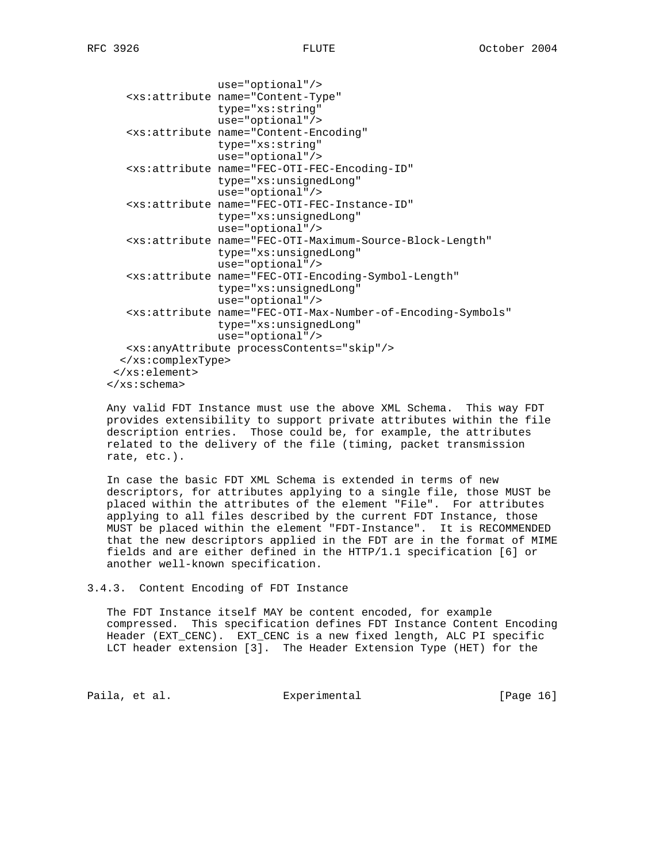```
 use="optional"/>
    <xs:attribute name="Content-Type"
                  type="xs:string"
                  use="optional"/>
    <xs:attribute name="Content-Encoding"
                  type="xs:string"
                  use="optional"/>
    <xs:attribute name="FEC-OTI-FEC-Encoding-ID"
                  type="xs:unsignedLong"
                  use="optional"/>
    <xs:attribute name="FEC-OTI-FEC-Instance-ID"
                  type="xs:unsignedLong"
                  use="optional"/>
    <xs:attribute name="FEC-OTI-Maximum-Source-Block-Length"
                  type="xs:unsignedLong"
                  use="optional"/>
    <xs:attribute name="FEC-OTI-Encoding-Symbol-Length"
                  type="xs:unsignedLong"
                  use="optional"/>
    <xs:attribute name="FEC-OTI-Max-Number-of-Encoding-Symbols"
                  type="xs:unsignedLong"
                  use="optional"/>
   <xs:anyAttribute processContents="skip"/>
   </xs:complexType>
  </xs:element>
 </xs:schema>
```
 Any valid FDT Instance must use the above XML Schema. This way FDT provides extensibility to support private attributes within the file description entries. Those could be, for example, the attributes related to the delivery of the file (timing, packet transmission rate, etc.).

 In case the basic FDT XML Schema is extended in terms of new descriptors, for attributes applying to a single file, those MUST be placed within the attributes of the element "File". For attributes applying to all files described by the current FDT Instance, those MUST be placed within the element "FDT-Instance". It is RECOMMENDED that the new descriptors applied in the FDT are in the format of MIME fields and are either defined in the HTTP/1.1 specification [6] or another well-known specification.

# 3.4.3. Content Encoding of FDT Instance

 The FDT Instance itself MAY be content encoded, for example compressed. This specification defines FDT Instance Content Encoding Header (EXT\_CENC). EXT\_CENC is a new fixed length, ALC PI specific LCT header extension [3]. The Header Extension Type (HET) for the

Paila, et al. Subsectimental Experimental [Page 16]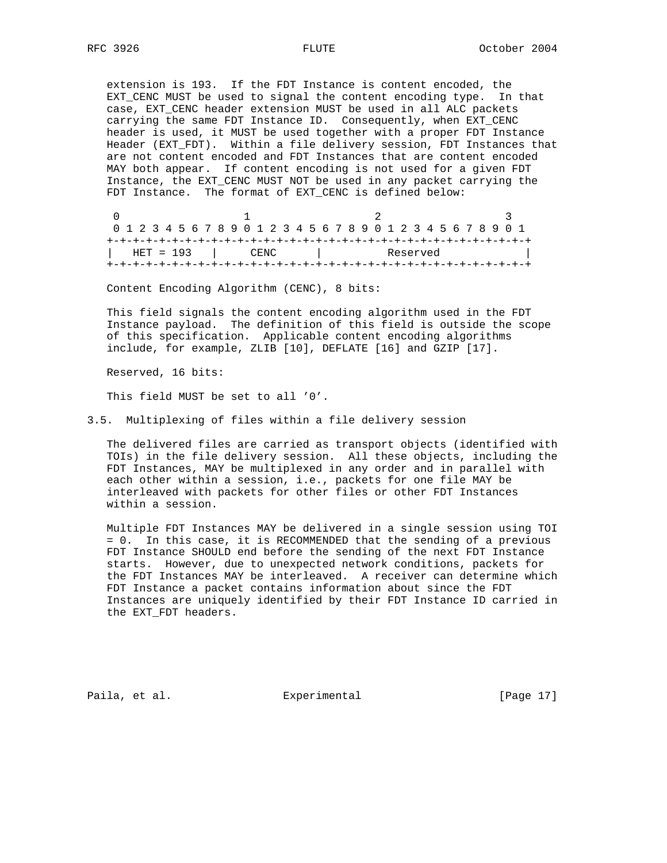extension is 193. If the FDT Instance is content encoded, the EXT\_CENC MUST be used to signal the content encoding type. In that case, EXT\_CENC header extension MUST be used in all ALC packets carrying the same FDT Instance ID. Consequently, when EXT\_CENC header is used, it MUST be used together with a proper FDT Instance Header (EXT\_FDT). Within a file delivery session, FDT Instances that are not content encoded and FDT Instances that are content encoded MAY both appear. If content encoding is not used for a given FDT Instance, the EXT\_CENC MUST NOT be used in any packet carrying the FDT Instance. The format of EXT CENC is defined below:

0  $1$  2 3 0 1 2 3 4 5 6 7 8 9 0 1 2 3 4 5 6 7 8 9 0 1 2 3 4 5 6 7 8 9 0 1 +-+-+-+-+-+-+-+-+-+-+-+-+-+-+-+-+-+-+-+-+-+-+-+-+-+-+-+-+-+-+-+-+ HET = 193 | CENC | Reserved +-+-+-+-+-+-+-+-+-+-+-+-+-+-+-+-+-+-+-+-+-+-+-+-+-+-+-+-+-+-+-+-+

Content Encoding Algorithm (CENC), 8 bits:

 This field signals the content encoding algorithm used in the FDT Instance payload. The definition of this field is outside the scope of this specification. Applicable content encoding algorithms include, for example, ZLIB [10], DEFLATE [16] and GZIP [17].

Reserved, 16 bits:

This field MUST be set to all '0'.

3.5. Multiplexing of files within a file delivery session

 The delivered files are carried as transport objects (identified with TOIs) in the file delivery session. All these objects, including the FDT Instances, MAY be multiplexed in any order and in parallel with each other within a session, i.e., packets for one file MAY be interleaved with packets for other files or other FDT Instances within a session.

 Multiple FDT Instances MAY be delivered in a single session using TOI = 0. In this case, it is RECOMMENDED that the sending of a previous FDT Instance SHOULD end before the sending of the next FDT Instance starts. However, due to unexpected network conditions, packets for the FDT Instances MAY be interleaved. A receiver can determine which FDT Instance a packet contains information about since the FDT Instances are uniquely identified by their FDT Instance ID carried in the EXT\_FDT headers.

Paila, et al. Experimental [Page 17]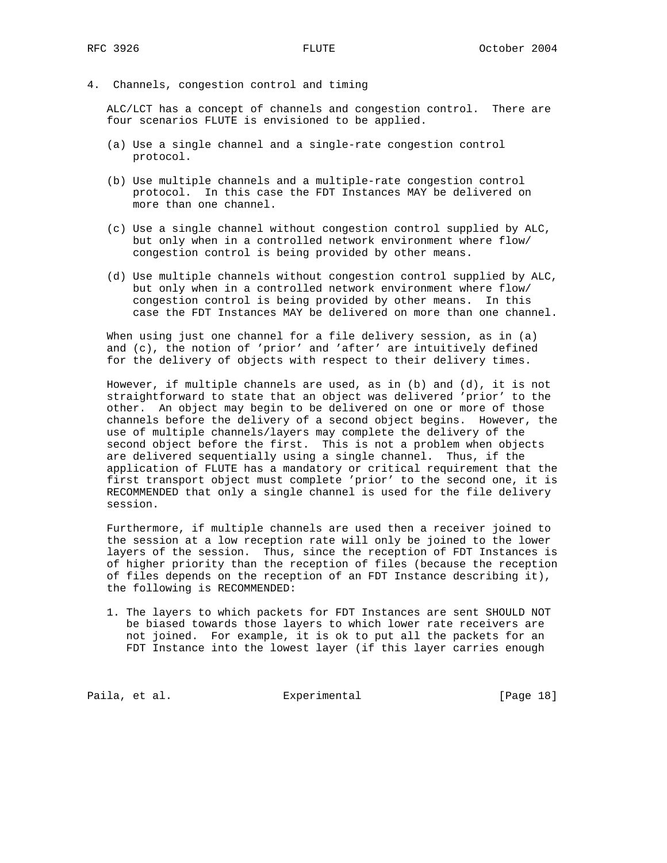4. Channels, congestion control and timing

 ALC/LCT has a concept of channels and congestion control. There are four scenarios FLUTE is envisioned to be applied.

- (a) Use a single channel and a single-rate congestion control protocol.
- (b) Use multiple channels and a multiple-rate congestion control protocol. In this case the FDT Instances MAY be delivered on more than one channel.
- (c) Use a single channel without congestion control supplied by ALC, but only when in a controlled network environment where flow/ congestion control is being provided by other means.
- (d) Use multiple channels without congestion control supplied by ALC, but only when in a controlled network environment where flow/ congestion control is being provided by other means. In this case the FDT Instances MAY be delivered on more than one channel.

 When using just one channel for a file delivery session, as in (a) and (c), the notion of 'prior' and 'after' are intuitively defined for the delivery of objects with respect to their delivery times.

 However, if multiple channels are used, as in (b) and (d), it is not straightforward to state that an object was delivered 'prior' to the other. An object may begin to be delivered on one or more of those channels before the delivery of a second object begins. However, the use of multiple channels/layers may complete the delivery of the second object before the first. This is not a problem when objects are delivered sequentially using a single channel. Thus, if the application of FLUTE has a mandatory or critical requirement that the first transport object must complete 'prior' to the second one, it is RECOMMENDED that only a single channel is used for the file delivery session.

 Furthermore, if multiple channels are used then a receiver joined to the session at a low reception rate will only be joined to the lower layers of the session. Thus, since the reception of FDT Instances is of higher priority than the reception of files (because the reception of files depends on the reception of an FDT Instance describing it), the following is RECOMMENDED:

 1. The layers to which packets for FDT Instances are sent SHOULD NOT be biased towards those layers to which lower rate receivers are not joined. For example, it is ok to put all the packets for an FDT Instance into the lowest layer (if this layer carries enough

Paila, et al. Experimental [Page 18]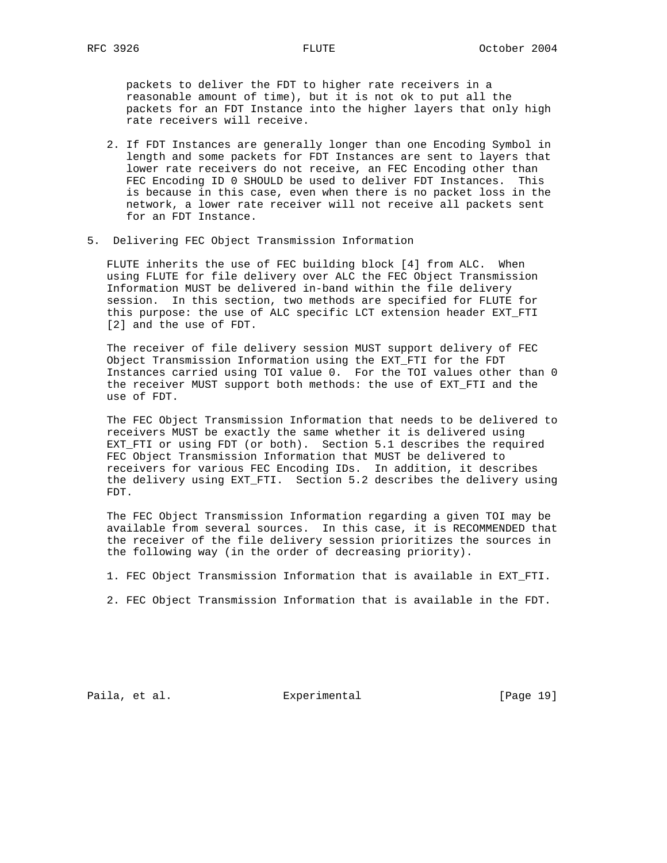packets to deliver the FDT to higher rate receivers in a reasonable amount of time), but it is not ok to put all the packets for an FDT Instance into the higher layers that only high rate receivers will receive.

- 2. If FDT Instances are generally longer than one Encoding Symbol in length and some packets for FDT Instances are sent to layers that lower rate receivers do not receive, an FEC Encoding other than FEC Encoding ID 0 SHOULD be used to deliver FDT Instances. This is because in this case, even when there is no packet loss in the network, a lower rate receiver will not receive all packets sent for an FDT Instance.
- 5. Delivering FEC Object Transmission Information

 FLUTE inherits the use of FEC building block [4] from ALC. When using FLUTE for file delivery over ALC the FEC Object Transmission Information MUST be delivered in-band within the file delivery session. In this section, two methods are specified for FLUTE for this purpose: the use of ALC specific LCT extension header EXT\_FTI [2] and the use of FDT.

 The receiver of file delivery session MUST support delivery of FEC Object Transmission Information using the EXT\_FTI for the FDT Instances carried using TOI value 0. For the TOI values other than 0 the receiver MUST support both methods: the use of EXT\_FTI and the use of FDT.

 The FEC Object Transmission Information that needs to be delivered to receivers MUST be exactly the same whether it is delivered using EXT\_FTI or using FDT (or both). Section 5.1 describes the required FEC Object Transmission Information that MUST be delivered to receivers for various FEC Encoding IDs. In addition, it describes the delivery using EXT\_FTI. Section 5.2 describes the delivery using FDT.

 The FEC Object Transmission Information regarding a given TOI may be available from several sources. In this case, it is RECOMMENDED that the receiver of the file delivery session prioritizes the sources in the following way (in the order of decreasing priority).

- 1. FEC Object Transmission Information that is available in EXT\_FTI.
- 2. FEC Object Transmission Information that is available in the FDT.

Paila, et al. Subsection Experimental Fage 191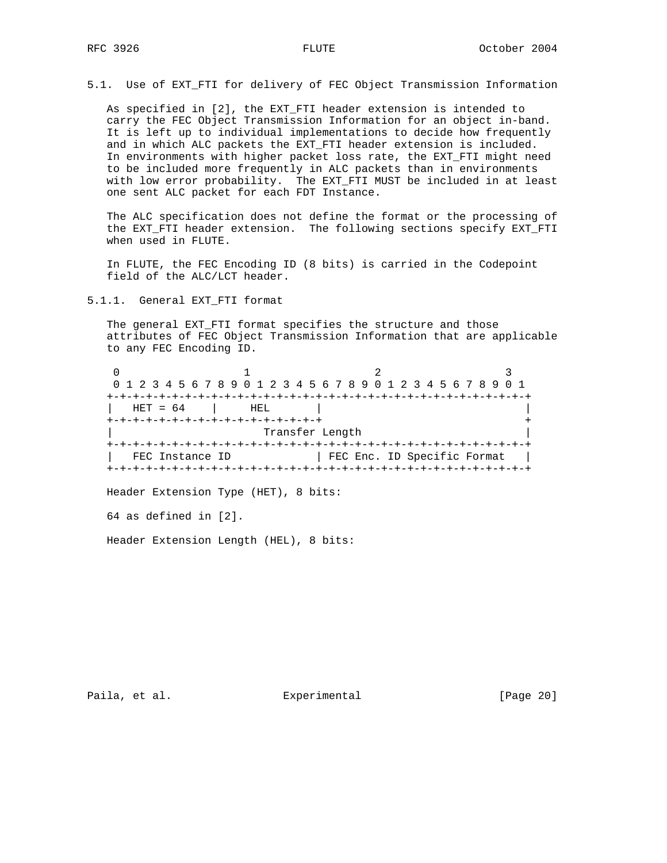5.1. Use of EXT\_FTI for delivery of FEC Object Transmission Information

 As specified in [2], the EXT\_FTI header extension is intended to carry the FEC Object Transmission Information for an object in-band. It is left up to individual implementations to decide how frequently and in which ALC packets the EXT\_FTI header extension is included. In environments with higher packet loss rate, the EXT\_FTI might need to be included more frequently in ALC packets than in environments with low error probability. The EXT\_FTI MUST be included in at least one sent ALC packet for each FDT Instance.

 The ALC specification does not define the format or the processing of the EXT\_FTI header extension. The following sections specify EXT\_FTI when used in FLUTE.

 In FLUTE, the FEC Encoding ID (8 bits) is carried in the Codepoint field of the ALC/LCT header.

5.1.1. General EXT\_FTI format

 The general EXT\_FTI format specifies the structure and those attributes of FEC Object Transmission Information that are applicable to any FEC Encoding ID.

|                 |     | 0 1 2 3 4 5 6 7 8 9 0 1 2 3 4 5 6 7 8 9 0 1 2 3 4 5 6 7 8 9 0 1 |  |
|-----------------|-----|-----------------------------------------------------------------|--|
|                 |     |                                                                 |  |
| $HET = 64$      | HEL |                                                                 |  |
|                 |     |                                                                 |  |
|                 |     | Transfer Length                                                 |  |
|                 |     |                                                                 |  |
| FEC Instance ID |     | FEC Enc. ID Specific Format                                     |  |
|                 |     |                                                                 |  |

Header Extension Type (HET), 8 bits:

64 as defined in [2].

Header Extension Length (HEL), 8 bits:

Paila, et al. Subsection Experimental Fage 201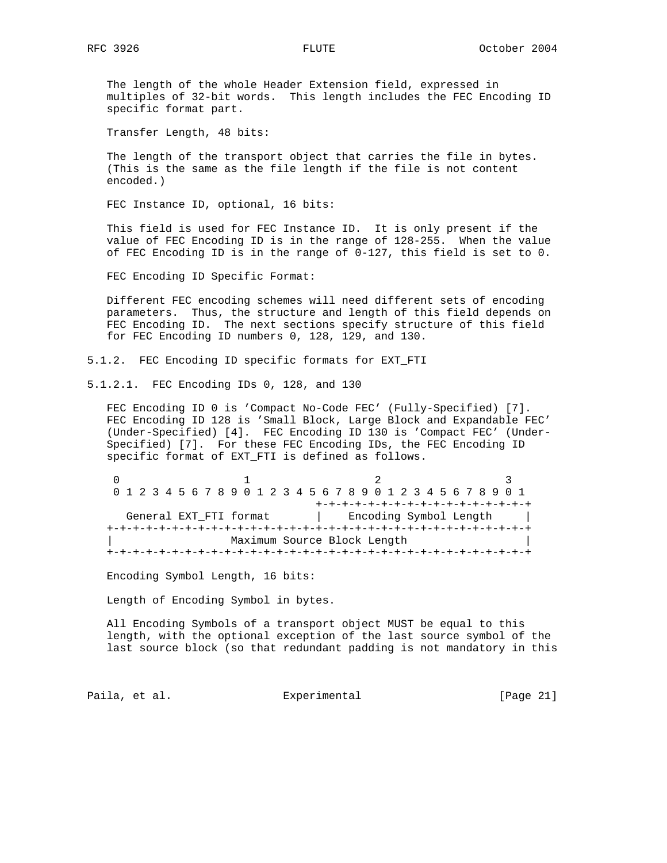The length of the whole Header Extension field, expressed in multiples of 32-bit words. This length includes the FEC Encoding ID specific format part.

Transfer Length, 48 bits:

 The length of the transport object that carries the file in bytes. (This is the same as the file length if the file is not content encoded.)

FEC Instance ID, optional, 16 bits:

 This field is used for FEC Instance ID. It is only present if the value of FEC Encoding ID is in the range of 128-255. When the value of FEC Encoding ID is in the range of 0-127, this field is set to 0.

FEC Encoding ID Specific Format:

 Different FEC encoding schemes will need different sets of encoding parameters. Thus, the structure and length of this field depends on FEC Encoding ID. The next sections specify structure of this field for FEC Encoding ID numbers 0, 128, 129, and 130.

5.1.2. FEC Encoding ID specific formats for EXT\_FTI

5.1.2.1. FEC Encoding IDs 0, 128, and 130

 FEC Encoding ID 0 is 'Compact No-Code FEC' (Fully-Specified) [7]. FEC Encoding ID 128 is 'Small Block, Large Block and Expandable FEC' (Under-Specified) [4]. FEC Encoding ID 130 is 'Compact FEC' (Under- Specified) [7]. For these FEC Encoding IDs, the FEC Encoding ID specific format of EXT\_FTI is defined as follows.

0  $1$  2 3 0 1 2 3 4 5 6 7 8 9 0 1 2 3 4 5 6 7 8 9 0 1 2 3 4 5 6 7 8 9 0 1 +-+-+-+-+-+-+-+-+-+-+-+-+-+-+-+-+ General EXT\_FTI format  $|$  Encoding Symbol Length  $|$  +-+-+-+-+-+-+-+-+-+-+-+-+-+-+-+-+-+-+-+-+-+-+-+-+-+-+-+-+-+-+-+-+ Maximum Source Block Length +-+-+-+-+-+-+-+-+-+-+-+-+-+-+-+-+-+-+-+-+-+-+-+-+-+-+-+-+-+-+-+-+

Encoding Symbol Length, 16 bits:

Length of Encoding Symbol in bytes.

 All Encoding Symbols of a transport object MUST be equal to this length, with the optional exception of the last source symbol of the last source block (so that redundant padding is not mandatory in this

Paila, et al. Experimental [Page 21]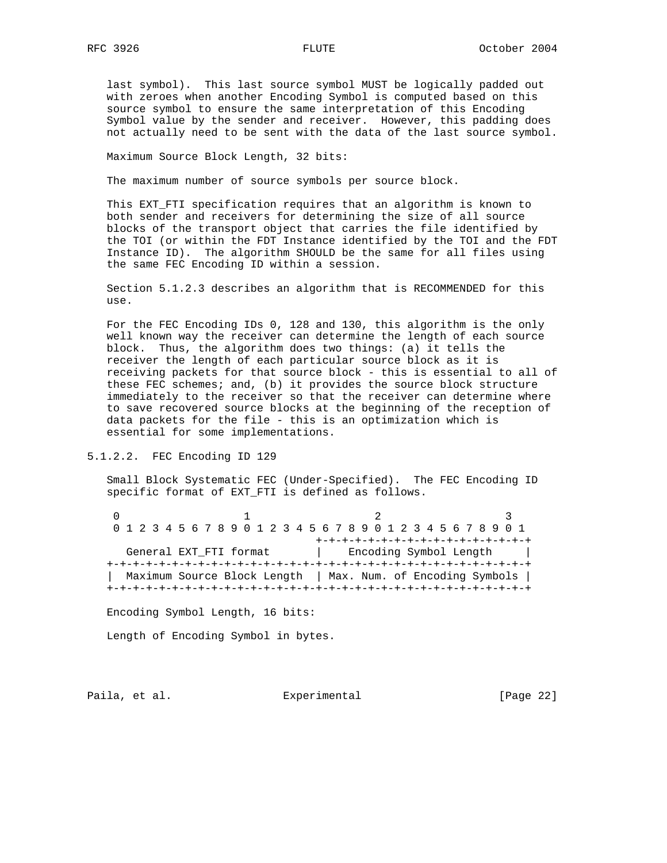last symbol). This last source symbol MUST be logically padded out with zeroes when another Encoding Symbol is computed based on this source symbol to ensure the same interpretation of this Encoding Symbol value by the sender and receiver. However, this padding does not actually need to be sent with the data of the last source symbol.

Maximum Source Block Length, 32 bits:

The maximum number of source symbols per source block.

 This EXT\_FTI specification requires that an algorithm is known to both sender and receivers for determining the size of all source blocks of the transport object that carries the file identified by the TOI (or within the FDT Instance identified by the TOI and the FDT Instance ID). The algorithm SHOULD be the same for all files using the same FEC Encoding ID within a session.

 Section 5.1.2.3 describes an algorithm that is RECOMMENDED for this use.

 For the FEC Encoding IDs 0, 128 and 130, this algorithm is the only well known way the receiver can determine the length of each source block. Thus, the algorithm does two things: (a) it tells the receiver the length of each particular source block as it is receiving packets for that source block - this is essential to all of these FEC schemes; and, (b) it provides the source block structure immediately to the receiver so that the receiver can determine where to save recovered source blocks at the beginning of the reception of data packets for the file - this is an optimization which is essential for some implementations.

5.1.2.2. FEC Encoding ID 129

 Small Block Systematic FEC (Under-Specified). The FEC Encoding ID specific format of EXT\_FTI is defined as follows.

0  $1$  2 3 0 1 2 3 4 5 6 7 8 9 0 1 2 3 4 5 6 7 8 9 0 1 2 3 4 5 6 7 8 9 0 1 +-+-+-+-+-+-+-+-+-+-+-+-+-+-+-+-+ General EXT\_FTI format | Encoding Symbol Length +-+-+-+-+-+-+-+-+-+-+-+-+-+-+-+-+-+-+-+-+-+-+-+-+-+-+-+-+-+-+-+-+ | Maximum Source Block Length | Max. Num. of Encoding Symbols | +-+-+-+-+-+-+-+-+-+-+-+-+-+-+-+-+-+-+-+-+-+-+-+-+-+-+-+-+-+-+-+-+

Encoding Symbol Length, 16 bits:

Length of Encoding Symbol in bytes.

Paila, et al. Subsection Experimental Fage 22]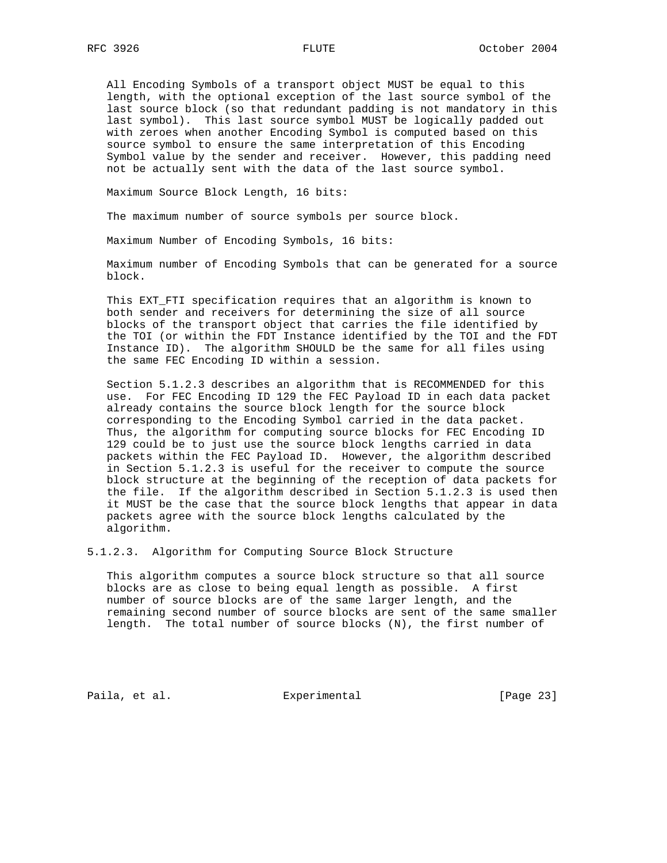All Encoding Symbols of a transport object MUST be equal to this length, with the optional exception of the last source symbol of the last source block (so that redundant padding is not mandatory in this last symbol). This last source symbol MUST be logically padded out with zeroes when another Encoding Symbol is computed based on this source symbol to ensure the same interpretation of this Encoding Symbol value by the sender and receiver. However, this padding need not be actually sent with the data of the last source symbol.

Maximum Source Block Length, 16 bits:

The maximum number of source symbols per source block.

Maximum Number of Encoding Symbols, 16 bits:

 Maximum number of Encoding Symbols that can be generated for a source block.

 This EXT\_FTI specification requires that an algorithm is known to both sender and receivers for determining the size of all source blocks of the transport object that carries the file identified by the TOI (or within the FDT Instance identified by the TOI and the FDT Instance ID). The algorithm SHOULD be the same for all files using the same FEC Encoding ID within a session.

 Section 5.1.2.3 describes an algorithm that is RECOMMENDED for this use. For FEC Encoding ID 129 the FEC Payload ID in each data packet already contains the source block length for the source block corresponding to the Encoding Symbol carried in the data packet. Thus, the algorithm for computing source blocks for FEC Encoding ID 129 could be to just use the source block lengths carried in data packets within the FEC Payload ID. However, the algorithm described in Section 5.1.2.3 is useful for the receiver to compute the source block structure at the beginning of the reception of data packets for the file. If the algorithm described in Section 5.1.2.3 is used then it MUST be the case that the source block lengths that appear in data packets agree with the source block lengths calculated by the algorithm.

5.1.2.3. Algorithm for Computing Source Block Structure

 This algorithm computes a source block structure so that all source blocks are as close to being equal length as possible. A first number of source blocks are of the same larger length, and the remaining second number of source blocks are sent of the same smaller length. The total number of source blocks (N), the first number of

Paila, et al. Subsection Experimental Fage 23]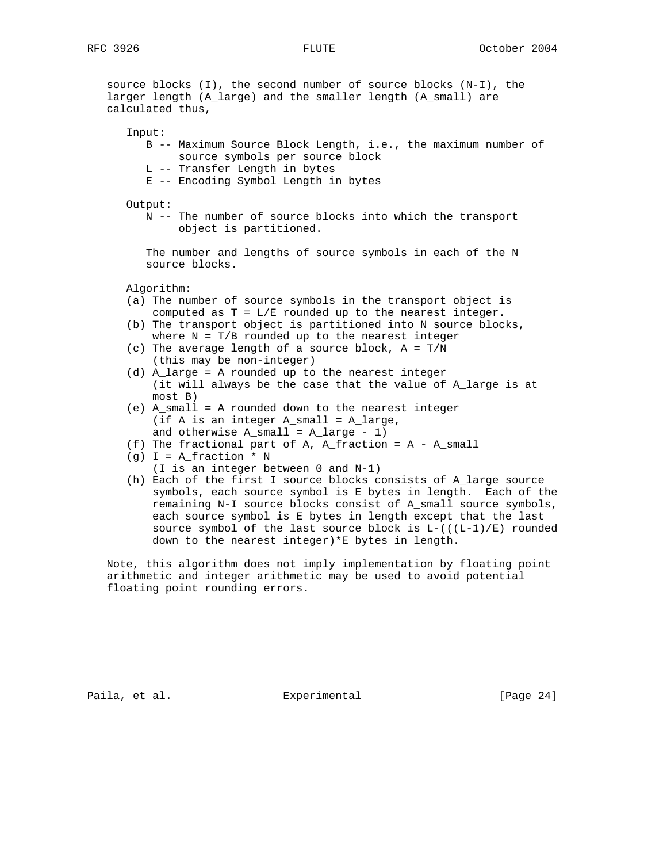source blocks (I), the second number of source blocks (N-I), the larger length (A\_large) and the smaller length (A\_small) are calculated thus, Input: B -- Maximum Source Block Length, i.e., the maximum number of source symbols per source block L -- Transfer Length in bytes E -- Encoding Symbol Length in bytes Output: N -- The number of source blocks into which the transport object is partitioned. The number and lengths of source symbols in each of the N source blocks. Algorithm: (a) The number of source symbols in the transport object is computed as  $T = L/E$  rounded up to the nearest integer. (b) The transport object is partitioned into N source blocks, where  $N = T/B$  rounded up to the nearest integer (c) The average length of a source block,  $A = T/N$  (this may be non-integer) (d) A\_large = A rounded up to the nearest integer (it will always be the case that the value of A\_large is at most B) (e) A\_small = A rounded down to the nearest integer (if A is an integer A\_small = A\_large, and otherwise  $A$ \_small =  $A$ \_large - 1) (f) The fractional part of A, A\_fraction = A - A\_small (g)  $I = A_f$  raction \* N (I is an integer between 0 and N-1) (h) Each of the first I source blocks consists of A\_large source symbols, each source symbol is E bytes in length. Each of the remaining N-I source blocks consist of A\_small source symbols, each source symbol is E bytes in length except that the last source symbol of the last source block is  $L-((L-1)/E)$  rounded

 Note, this algorithm does not imply implementation by floating point arithmetic and integer arithmetic may be used to avoid potential floating point rounding errors.

down to the nearest integer)\*E bytes in length.

Paila, et al. Subsectimental Experimental [Page 24]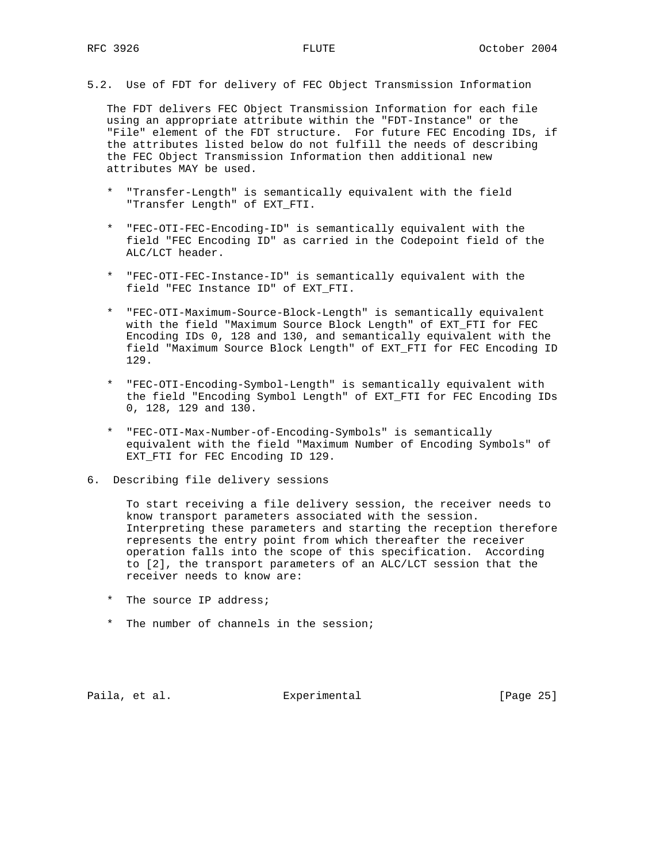5.2. Use of FDT for delivery of FEC Object Transmission Information

 The FDT delivers FEC Object Transmission Information for each file using an appropriate attribute within the "FDT-Instance" or the "File" element of the FDT structure. For future FEC Encoding IDs, if the attributes listed below do not fulfill the needs of describing the FEC Object Transmission Information then additional new attributes MAY be used.

- \* "Transfer-Length" is semantically equivalent with the field "Transfer Length" of EXT\_FTI.
- \* "FEC-OTI-FEC-Encoding-ID" is semantically equivalent with the field "FEC Encoding ID" as carried in the Codepoint field of the ALC/LCT header.
- \* "FEC-OTI-FEC-Instance-ID" is semantically equivalent with the field "FEC Instance ID" of EXT\_FTI.
- \* "FEC-OTI-Maximum-Source-Block-Length" is semantically equivalent with the field "Maximum Source Block Length" of EXT\_FTI for FEC Encoding IDs 0, 128 and 130, and semantically equivalent with the field "Maximum Source Block Length" of EXT\_FTI for FEC Encoding ID 129.
- \* "FEC-OTI-Encoding-Symbol-Length" is semantically equivalent with the field "Encoding Symbol Length" of EXT\_FTI for FEC Encoding IDs 0, 128, 129 and 130.
- \* "FEC-OTI-Max-Number-of-Encoding-Symbols" is semantically equivalent with the field "Maximum Number of Encoding Symbols" of EXT\_FTI for FEC Encoding ID 129.
- 6. Describing file delivery sessions

 To start receiving a file delivery session, the receiver needs to know transport parameters associated with the session. Interpreting these parameters and starting the reception therefore represents the entry point from which thereafter the receiver operation falls into the scope of this specification. According to [2], the transport parameters of an ALC/LCT session that the receiver needs to know are:

- \* The source IP address;
- \* The number of channels in the session;

Paila, et al. Subsection Experimental Fage 25]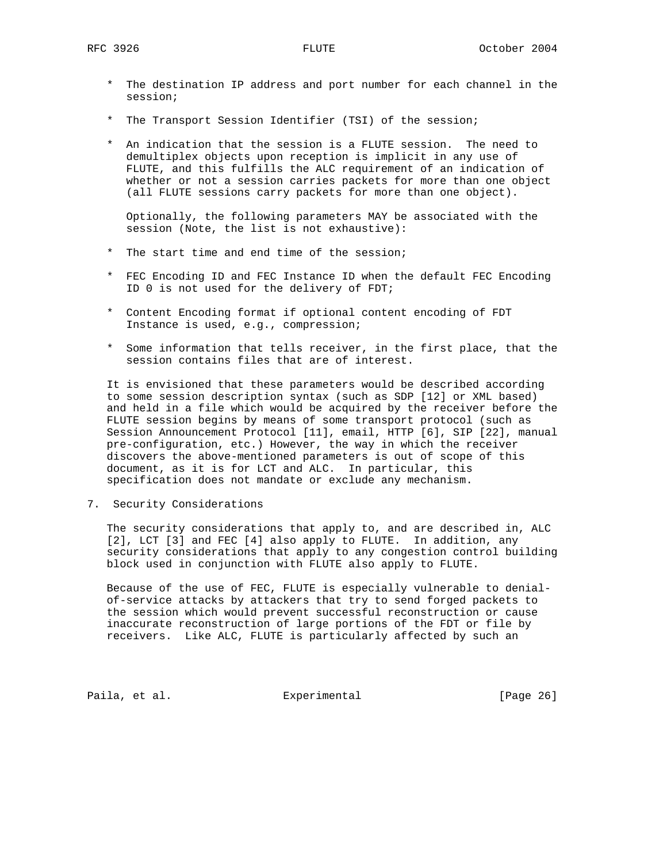- \* The destination IP address and port number for each channel in the session;
- \* The Transport Session Identifier (TSI) of the session;
- \* An indication that the session is a FLUTE session. The need to demultiplex objects upon reception is implicit in any use of FLUTE, and this fulfills the ALC requirement of an indication of whether or not a session carries packets for more than one object (all FLUTE sessions carry packets for more than one object).

 Optionally, the following parameters MAY be associated with the session (Note, the list is not exhaustive):

- \* The start time and end time of the session;
- \* FEC Encoding ID and FEC Instance ID when the default FEC Encoding ID 0 is not used for the delivery of FDT;
- \* Content Encoding format if optional content encoding of FDT Instance is used, e.g., compression;
- \* Some information that tells receiver, in the first place, that the session contains files that are of interest.

 It is envisioned that these parameters would be described according to some session description syntax (such as SDP [12] or XML based) and held in a file which would be acquired by the receiver before the FLUTE session begins by means of some transport protocol (such as Session Announcement Protocol [11], email, HTTP [6], SIP [22], manual pre-configuration, etc.) However, the way in which the receiver discovers the above-mentioned parameters is out of scope of this document, as it is for LCT and ALC. In particular, this specification does not mandate or exclude any mechanism.

7. Security Considerations

 The security considerations that apply to, and are described in, ALC [2], LCT [3] and FEC [4] also apply to FLUTE. In addition, any security considerations that apply to any congestion control building block used in conjunction with FLUTE also apply to FLUTE.

 Because of the use of FEC, FLUTE is especially vulnerable to denial of-service attacks by attackers that try to send forged packets to the session which would prevent successful reconstruction or cause inaccurate reconstruction of large portions of the FDT or file by receivers. Like ALC, FLUTE is particularly affected by such an

Paila, et al. Subsection Experimental Fage 26]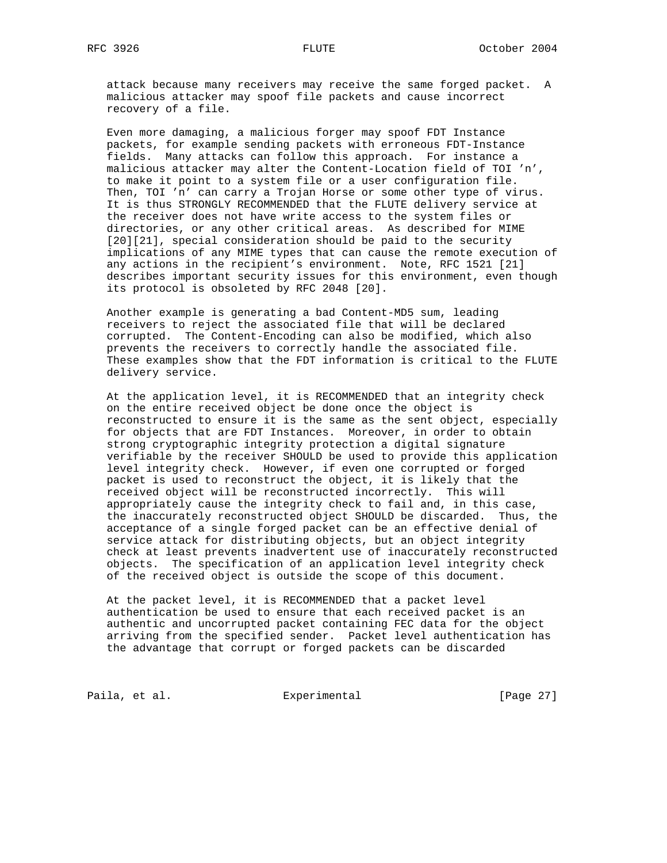attack because many receivers may receive the same forged packet. A malicious attacker may spoof file packets and cause incorrect recovery of a file.

 Even more damaging, a malicious forger may spoof FDT Instance packets, for example sending packets with erroneous FDT-Instance fields. Many attacks can follow this approach. For instance a malicious attacker may alter the Content-Location field of TOI 'n', to make it point to a system file or a user configuration file. Then, TOI 'n' can carry a Trojan Horse or some other type of virus. It is thus STRONGLY RECOMMENDED that the FLUTE delivery service at the receiver does not have write access to the system files or directories, or any other critical areas. As described for MIME [20][21], special consideration should be paid to the security implications of any MIME types that can cause the remote execution of any actions in the recipient's environment. Note, RFC 1521 [21] describes important security issues for this environment, even though its protocol is obsoleted by RFC 2048 [20].

 Another example is generating a bad Content-MD5 sum, leading receivers to reject the associated file that will be declared corrupted. The Content-Encoding can also be modified, which also prevents the receivers to correctly handle the associated file. These examples show that the FDT information is critical to the FLUTE delivery service.

 At the application level, it is RECOMMENDED that an integrity check on the entire received object be done once the object is reconstructed to ensure it is the same as the sent object, especially for objects that are FDT Instances. Moreover, in order to obtain strong cryptographic integrity protection a digital signature verifiable by the receiver SHOULD be used to provide this application level integrity check. However, if even one corrupted or forged packet is used to reconstruct the object, it is likely that the received object will be reconstructed incorrectly. This will appropriately cause the integrity check to fail and, in this case, the inaccurately reconstructed object SHOULD be discarded. Thus, the acceptance of a single forged packet can be an effective denial of service attack for distributing objects, but an object integrity check at least prevents inadvertent use of inaccurately reconstructed objects. The specification of an application level integrity check of the received object is outside the scope of this document.

 At the packet level, it is RECOMMENDED that a packet level authentication be used to ensure that each received packet is an authentic and uncorrupted packet containing FEC data for the object arriving from the specified sender. Packet level authentication has the advantage that corrupt or forged packets can be discarded

Paila, et al. Experimental [Page 27]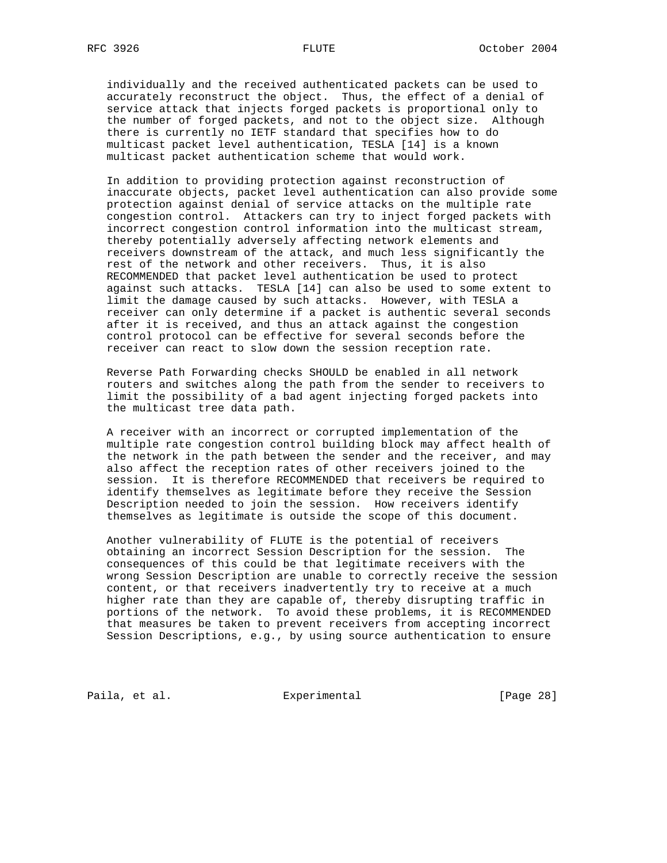individually and the received authenticated packets can be used to accurately reconstruct the object. Thus, the effect of a denial of service attack that injects forged packets is proportional only to the number of forged packets, and not to the object size. Although there is currently no IETF standard that specifies how to do multicast packet level authentication, TESLA [14] is a known multicast packet authentication scheme that would work.

 In addition to providing protection against reconstruction of inaccurate objects, packet level authentication can also provide some protection against denial of service attacks on the multiple rate congestion control. Attackers can try to inject forged packets with incorrect congestion control information into the multicast stream, thereby potentially adversely affecting network elements and receivers downstream of the attack, and much less significantly the rest of the network and other receivers. Thus, it is also RECOMMENDED that packet level authentication be used to protect against such attacks. TESLA [14] can also be used to some extent to limit the damage caused by such attacks. However, with TESLA a receiver can only determine if a packet is authentic several seconds after it is received, and thus an attack against the congestion control protocol can be effective for several seconds before the receiver can react to slow down the session reception rate.

 Reverse Path Forwarding checks SHOULD be enabled in all network routers and switches along the path from the sender to receivers to limit the possibility of a bad agent injecting forged packets into the multicast tree data path.

 A receiver with an incorrect or corrupted implementation of the multiple rate congestion control building block may affect health of the network in the path between the sender and the receiver, and may also affect the reception rates of other receivers joined to the session. It is therefore RECOMMENDED that receivers be required to identify themselves as legitimate before they receive the Session Description needed to join the session. How receivers identify themselves as legitimate is outside the scope of this document.

 Another vulnerability of FLUTE is the potential of receivers obtaining an incorrect Session Description for the session. The consequences of this could be that legitimate receivers with the wrong Session Description are unable to correctly receive the session content, or that receivers inadvertently try to receive at a much higher rate than they are capable of, thereby disrupting traffic in portions of the network. To avoid these problems, it is RECOMMENDED that measures be taken to prevent receivers from accepting incorrect Session Descriptions, e.g., by using source authentication to ensure

Paila, et al. Subsection Experimental Fage 28]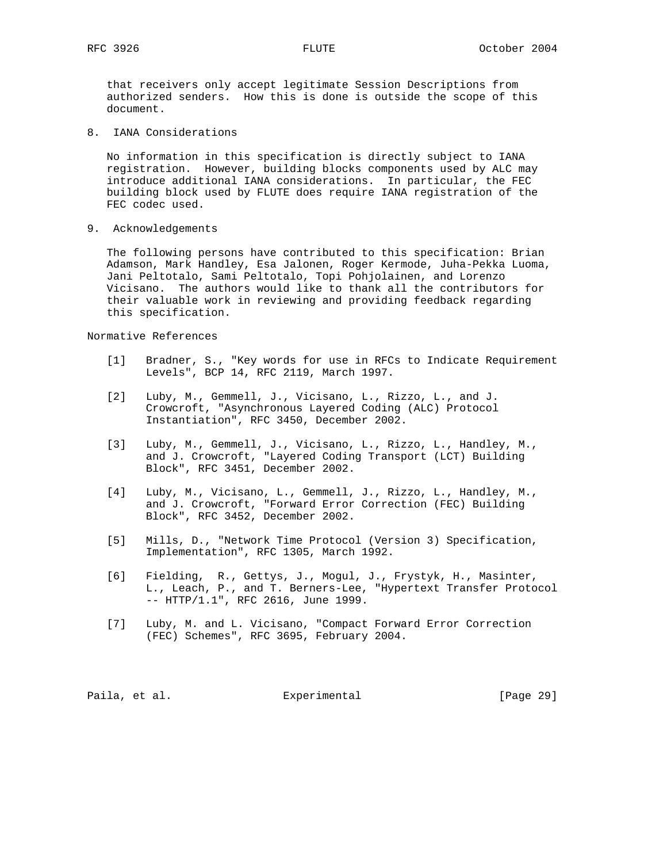that receivers only accept legitimate Session Descriptions from authorized senders. How this is done is outside the scope of this document.

8. IANA Considerations

 No information in this specification is directly subject to IANA registration. However, building blocks components used by ALC may introduce additional IANA considerations. In particular, the FEC building block used by FLUTE does require IANA registration of the FEC codec used.

9. Acknowledgements

 The following persons have contributed to this specification: Brian Adamson, Mark Handley, Esa Jalonen, Roger Kermode, Juha-Pekka Luoma, Jani Peltotalo, Sami Peltotalo, Topi Pohjolainen, and Lorenzo Vicisano. The authors would like to thank all the contributors for their valuable work in reviewing and providing feedback regarding this specification.

Normative References

- [1] Bradner, S., "Key words for use in RFCs to Indicate Requirement Levels", BCP 14, RFC 2119, March 1997.
- [2] Luby, M., Gemmell, J., Vicisano, L., Rizzo, L., and J. Crowcroft, "Asynchronous Layered Coding (ALC) Protocol Instantiation", RFC 3450, December 2002.
- [3] Luby, M., Gemmell, J., Vicisano, L., Rizzo, L., Handley, M., and J. Crowcroft, "Layered Coding Transport (LCT) Building Block", RFC 3451, December 2002.
- [4] Luby, M., Vicisano, L., Gemmell, J., Rizzo, L., Handley, M., and J. Crowcroft, "Forward Error Correction (FEC) Building Block", RFC 3452, December 2002.
- [5] Mills, D., "Network Time Protocol (Version 3) Specification, Implementation", RFC 1305, March 1992.
- [6] Fielding, R., Gettys, J., Mogul, J., Frystyk, H., Masinter, L., Leach, P., and T. Berners-Lee, "Hypertext Transfer Protocol -- HTTP/1.1", RFC 2616, June 1999.
- [7] Luby, M. and L. Vicisano, "Compact Forward Error Correction (FEC) Schemes", RFC 3695, February 2004.

Paila, et al.  $\Box$  Experimental [Page 29]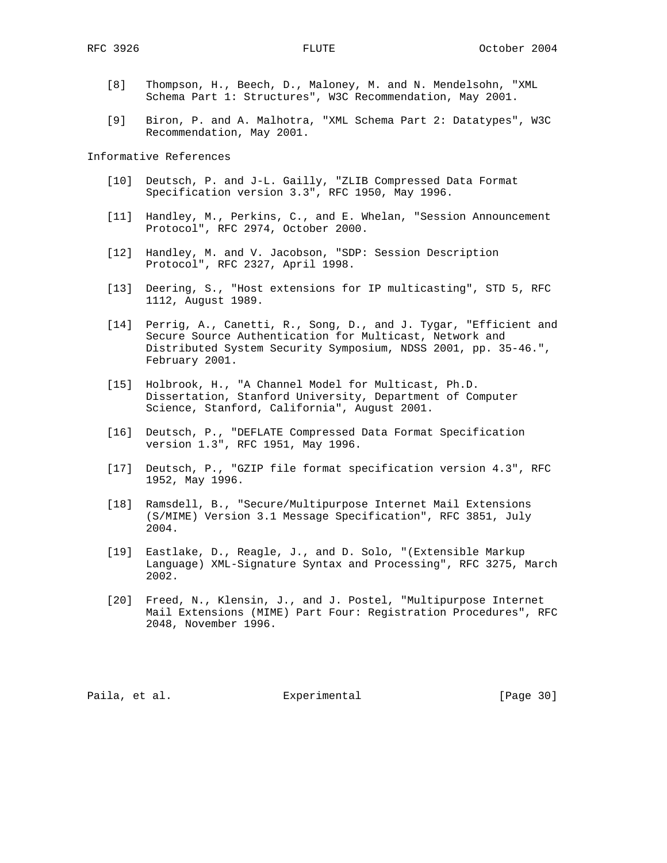- [8] Thompson, H., Beech, D., Maloney, M. and N. Mendelsohn, "XML Schema Part 1: Structures", W3C Recommendation, May 2001.
- [9] Biron, P. and A. Malhotra, "XML Schema Part 2: Datatypes", W3C Recommendation, May 2001.

Informative References

- [10] Deutsch, P. and J-L. Gailly, "ZLIB Compressed Data Format Specification version 3.3", RFC 1950, May 1996.
- [11] Handley, M., Perkins, C., and E. Whelan, "Session Announcement Protocol", RFC 2974, October 2000.
- [12] Handley, M. and V. Jacobson, "SDP: Session Description Protocol", RFC 2327, April 1998.
- [13] Deering, S., "Host extensions for IP multicasting", STD 5, RFC 1112, August 1989.
- [14] Perrig, A., Canetti, R., Song, D., and J. Tygar, "Efficient and Secure Source Authentication for Multicast, Network and Distributed System Security Symposium, NDSS 2001, pp. 35-46.", February 2001.
- [15] Holbrook, H., "A Channel Model for Multicast, Ph.D. Dissertation, Stanford University, Department of Computer Science, Stanford, California", August 2001.
- [16] Deutsch, P., "DEFLATE Compressed Data Format Specification version 1.3", RFC 1951, May 1996.
- [17] Deutsch, P., "GZIP file format specification version 4.3", RFC 1952, May 1996.
- [18] Ramsdell, B., "Secure/Multipurpose Internet Mail Extensions (S/MIME) Version 3.1 Message Specification", RFC 3851, July 2004.
- [19] Eastlake, D., Reagle, J., and D. Solo, "(Extensible Markup Language) XML-Signature Syntax and Processing", RFC 3275, March 2002.
- [20] Freed, N., Klensin, J., and J. Postel, "Multipurpose Internet Mail Extensions (MIME) Part Four: Registration Procedures", RFC 2048, November 1996.

Paila, et al. San Experimental Experimental [Page 30]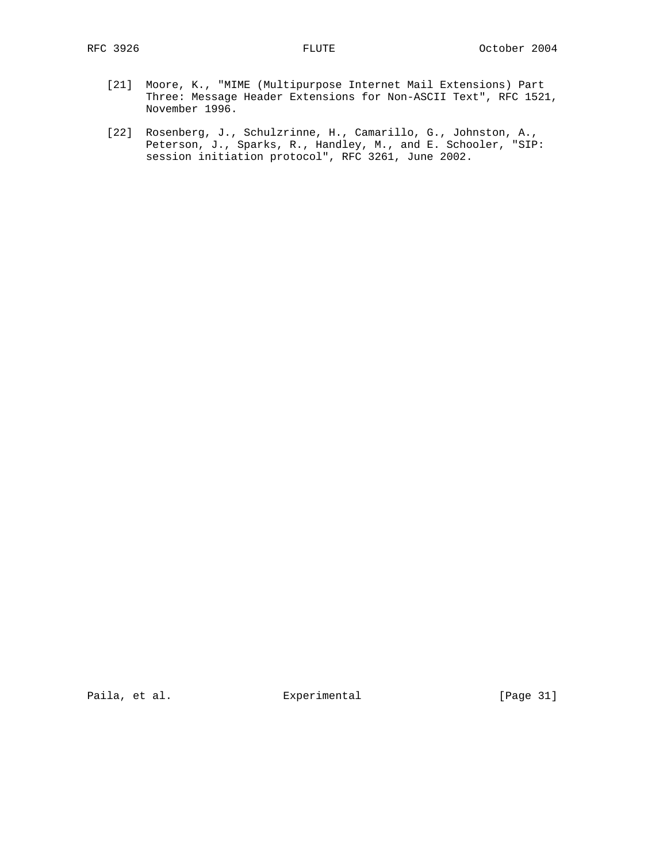- [21] Moore, K., "MIME (Multipurpose Internet Mail Extensions) Part Three: Message Header Extensions for Non-ASCII Text", RFC 1521, November 1996.
- [22] Rosenberg, J., Schulzrinne, H., Camarillo, G., Johnston, A., Peterson, J., Sparks, R., Handley, M., and E. Schooler, "SIP: session initiation protocol", RFC 3261, June 2002.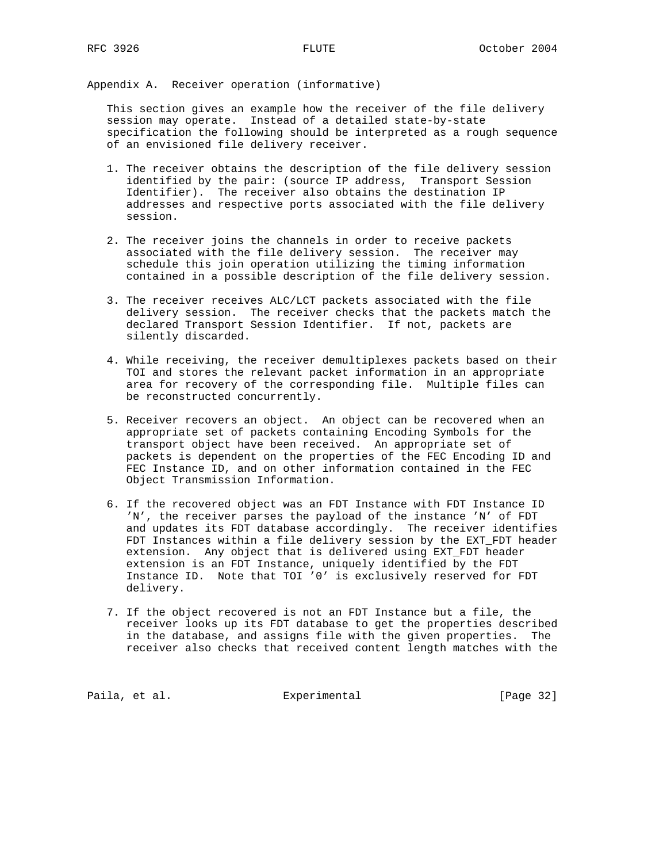Appendix A. Receiver operation (informative)

 This section gives an example how the receiver of the file delivery session may operate. Instead of a detailed state-by-state specification the following should be interpreted as a rough sequence of an envisioned file delivery receiver.

- 1. The receiver obtains the description of the file delivery session identified by the pair: (source IP address, Transport Session Identifier). The receiver also obtains the destination IP addresses and respective ports associated with the file delivery session.
- 2. The receiver joins the channels in order to receive packets associated with the file delivery session. The receiver may schedule this join operation utilizing the timing information contained in a possible description of the file delivery session.
- 3. The receiver receives ALC/LCT packets associated with the file delivery session. The receiver checks that the packets match the declared Transport Session Identifier. If not, packets are silently discarded.
- 4. While receiving, the receiver demultiplexes packets based on their TOI and stores the relevant packet information in an appropriate area for recovery of the corresponding file. Multiple files can be reconstructed concurrently.
- 5. Receiver recovers an object. An object can be recovered when an appropriate set of packets containing Encoding Symbols for the transport object have been received. An appropriate set of packets is dependent on the properties of the FEC Encoding ID and FEC Instance ID, and on other information contained in the FEC Object Transmission Information.
- 6. If the recovered object was an FDT Instance with FDT Instance ID 'N', the receiver parses the payload of the instance 'N' of FDT and updates its FDT database accordingly. The receiver identifies FDT Instances within a file delivery session by the EXT\_FDT header extension. Any object that is delivered using EXT\_FDT header extension is an FDT Instance, uniquely identified by the FDT Instance ID. Note that TOI '0' is exclusively reserved for FDT delivery.
- 7. If the object recovered is not an FDT Instance but a file, the receiver looks up its FDT database to get the properties described in the database, and assigns file with the given properties. The receiver also checks that received content length matches with the

Paila, et al. Experimental [Page 32]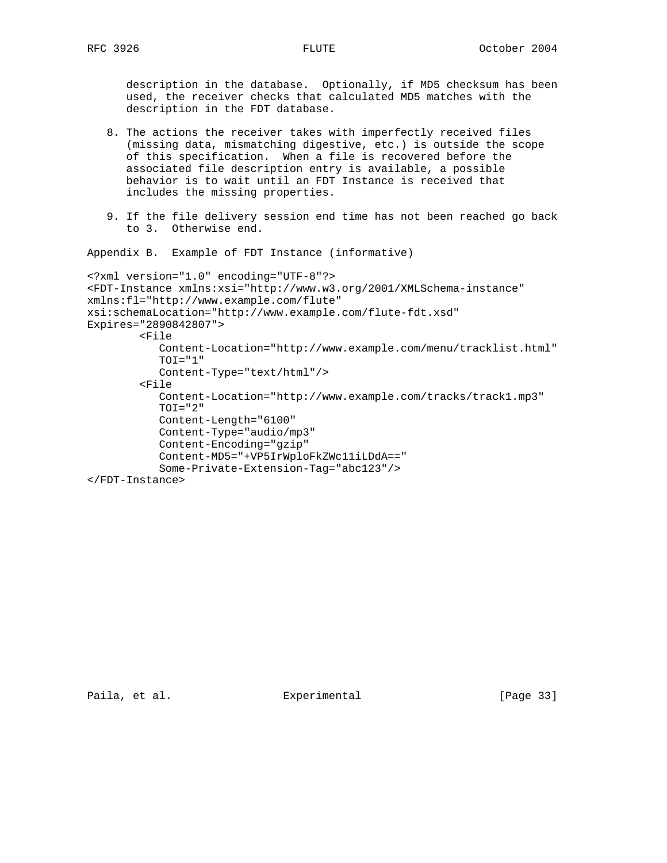description in the database. Optionally, if MD5 checksum has been used, the receiver checks that calculated MD5 matches with the description in the FDT database.

- 8. The actions the receiver takes with imperfectly received files (missing data, mismatching digestive, etc.) is outside the scope of this specification. When a file is recovered before the associated file description entry is available, a possible behavior is to wait until an FDT Instance is received that includes the missing properties.
- 9. If the file delivery session end time has not been reached go back to 3. Otherwise end.

Appendix B. Example of FDT Instance (informative)

```
<?xml version="1.0" encoding="UTF-8"?>
<FDT-Instance xmlns:xsi="http://www.w3.org/2001/XMLSchema-instance"
xmlns:fl="http://www.example.com/flute"
xsi:schemaLocation="http://www.example.com/flute-fdt.xsd"
Expires="2890842807">
         <File
            Content-Location="http://www.example.com/menu/tracklist.html"
           TOI="1" Content-Type="text/html"/>
         <File
            Content-Location="http://www.example.com/tracks/track1.mp3"
           TOI="2" Content-Length="6100"
            Content-Type="audio/mp3"
            Content-Encoding="gzip"
            Content-MD5="+VP5IrWploFkZWc11iLDdA=="
            Some-Private-Extension-Tag="abc123"/>
</FDT-Instance>
```
Paila, et al. Subsection Experimental Frage 2011 [Page 33]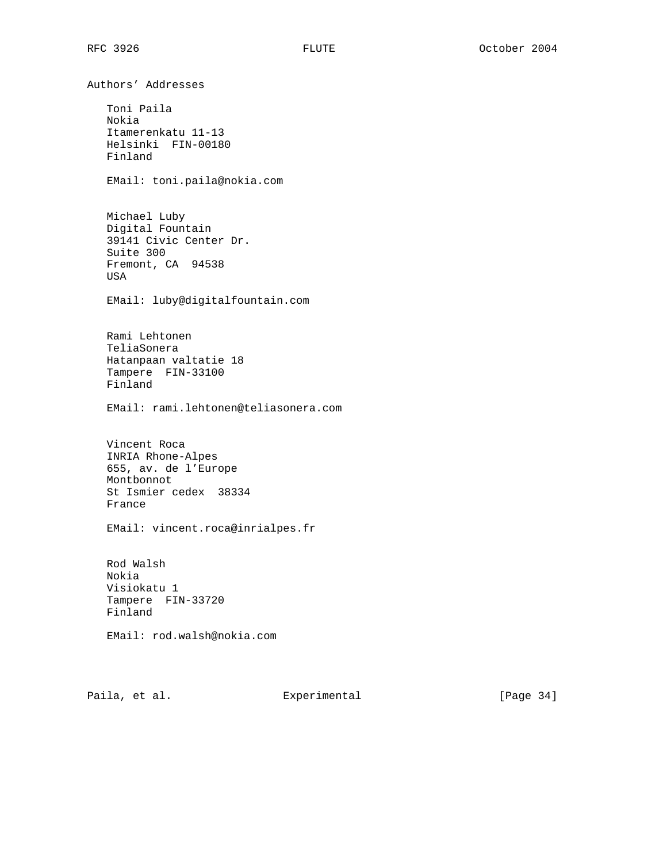Authors' Addresses Toni Paila Nokia Itamerenkatu 11-13 Helsinki FIN-00180 Finland EMail: toni.paila@nokia.com Michael Luby Digital Fountain 39141 Civic Center Dr. Suite 300 Fremont, CA 94538 USA EMail: luby@digitalfountain.com Rami Lehtonen TeliaSonera Hatanpaan valtatie 18 Tampere FIN-33100 Finland EMail: rami.lehtonen@teliasonera.com Vincent Roca INRIA Rhone-Alpes 655, av. de l'Europe Montbonnot St Ismier cedex 38334 France EMail: vincent.roca@inrialpes.fr Rod Walsh Nokia Visiokatu 1 Tampere FIN-33720 Finland EMail: rod.walsh@nokia.com Paila, et al. Subsection Experimental Fage 34]